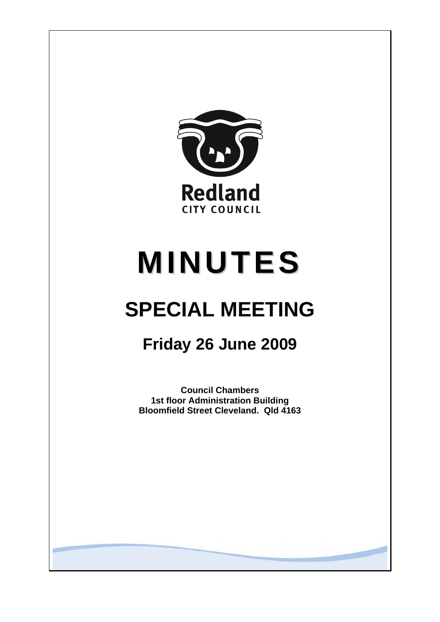

# **MINUTES**

## **SPECIAL MEETING**

### **Friday 26 June 2009**

**Council Chambers 1st floor Administration Building Bloomfield Street Cleveland. Qld 4163**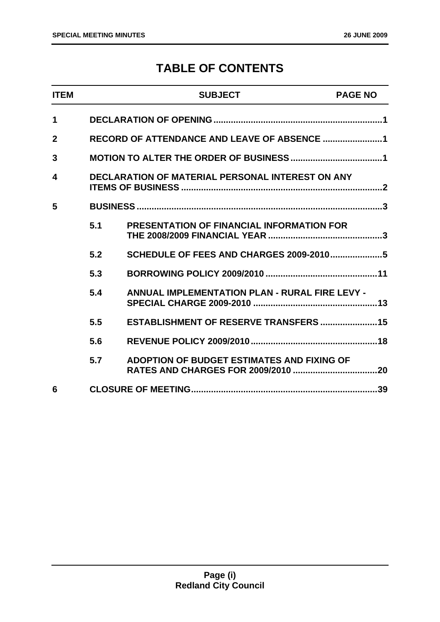### **TABLE OF CONTENTS**

| <b>ITEM</b>    |     | <b>SUBJECT</b>                                          | <b>PAGE NO</b> |  |  |  |
|----------------|-----|---------------------------------------------------------|----------------|--|--|--|
| 1              |     |                                                         |                |  |  |  |
| $\overline{2}$ |     | RECORD OF ATTENDANCE AND LEAVE OF ABSENCE 1             |                |  |  |  |
| 3              |     |                                                         |                |  |  |  |
| 4              |     | <b>DECLARATION OF MATERIAL PERSONAL INTEREST ON ANY</b> |                |  |  |  |
| 5              |     |                                                         |                |  |  |  |
|                | 5.1 | <b>PRESENTATION OF FINANCIAL INFORMATION FOR</b>        |                |  |  |  |
|                | 5.2 | <b>SCHEDULE OF FEES AND CHARGES 2009-20105</b>          |                |  |  |  |
|                | 5.3 |                                                         |                |  |  |  |
|                | 5.4 | <b>ANNUAL IMPLEMENTATION PLAN - RURAL FIRE LEVY -</b>   |                |  |  |  |
|                | 5.5 | ESTABLISHMENT OF RESERVE TRANSFERS  15                  |                |  |  |  |
|                | 5.6 |                                                         |                |  |  |  |
|                | 5.7 | ADOPTION OF BUDGET ESTIMATES AND FIXING OF              |                |  |  |  |
| 6              |     |                                                         |                |  |  |  |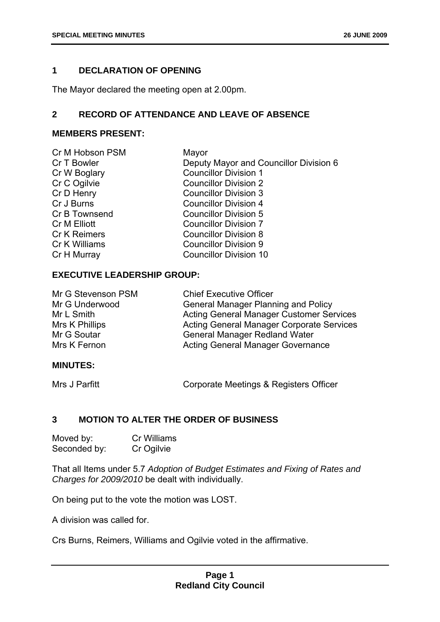#### <span id="page-2-0"></span>**1 DECLARATION OF OPENING**

The Mayor declared the meeting open at 2.00pm.

#### **2 RECORD OF ATTENDANCE AND LEAVE OF ABSENCE**

#### **MEMBERS PRESENT:**

| Cr M Hobson PSM     | Mayor                                  |
|---------------------|----------------------------------------|
| Cr T Bowler         | Deputy Mayor and Councillor Division 6 |
| Cr W Boglary        | <b>Councillor Division 1</b>           |
| Cr C Ogilvie        | <b>Councillor Division 2</b>           |
| Cr D Henry          | <b>Councillor Division 3</b>           |
| Cr J Burns          | <b>Councillor Division 4</b>           |
| Cr B Townsend       | <b>Councillor Division 5</b>           |
| Cr M Elliott        | <b>Councillor Division 7</b>           |
| <b>Cr K Reimers</b> | <b>Councillor Division 8</b>           |
| Cr K Williams       | <b>Councillor Division 9</b>           |
| Cr H Murray         | <b>Councillor Division 10</b>          |
|                     |                                        |

#### **EXECUTIVE LEADERSHIP GROUP:**

| Mr G Stevenson PSM | <b>Chief Executive Officer</b>                   |
|--------------------|--------------------------------------------------|
| Mr G Underwood     | <b>General Manager Planning and Policy</b>       |
| Mr L Smith         | <b>Acting General Manager Customer Services</b>  |
| Mrs K Phillips     | <b>Acting General Manager Corporate Services</b> |
| Mr G Soutar        | <b>General Manager Redland Water</b>             |
| Mrs K Fernon       | <b>Acting General Manager Governance</b>         |

#### **MINUTES:**

Mrs J Parfitt **Corporate Meetings & Registers Officer** 

#### **3 MOTION TO ALTER THE ORDER OF BUSINESS**

| Moved by:    | Cr Williams |
|--------------|-------------|
| Seconded by: | Cr Ogilvie  |

That all Items under 5.7 *Adoption of Budget Estimates and Fixing of Rates and Charges for 2009/2010* be dealt with individually.

On being put to the vote the motion was LOST.

A division was called for.

Crs Burns, Reimers, Williams and Ogilvie voted in the affirmative.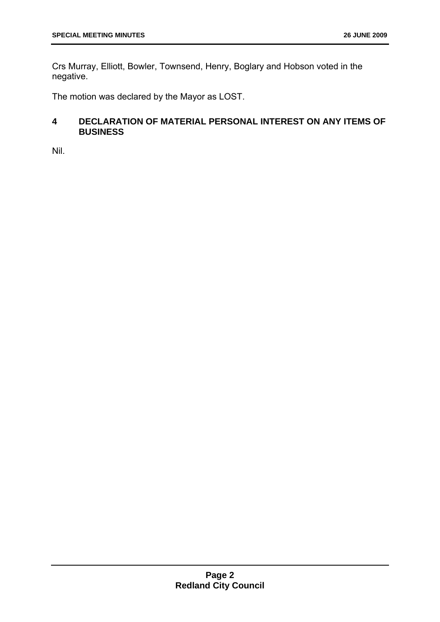<span id="page-3-0"></span>Crs Murray, Elliott, Bowler, Townsend, Henry, Boglary and Hobson voted in the negative.

The motion was declared by the Mayor as LOST.

#### **4 DECLARATION OF MATERIAL PERSONAL INTEREST ON ANY ITEMS OF BUSINESS**

Nil.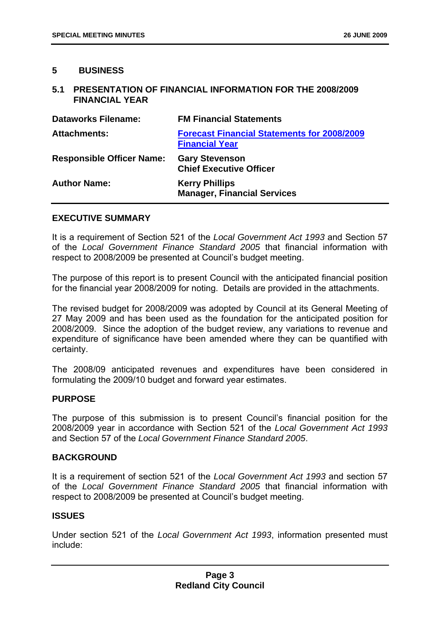#### <span id="page-4-0"></span>**5 BUSINESS**

#### **5.1 PRESENTATION OF FINANCIAL INFORMATION FOR THE 2008/2009 FINANCIAL YEAR**

| <b>Dataworks Filename:</b>       | <b>FM Financial Statements</b>                                              |
|----------------------------------|-----------------------------------------------------------------------------|
| <b>Attachments:</b>              | <b>Forecast Financial Statements for 2008/2009</b><br><b>Financial Year</b> |
| <b>Responsible Officer Name:</b> | <b>Gary Stevenson</b><br><b>Chief Executive Officer</b>                     |
| <b>Author Name:</b>              | <b>Kerry Phillips</b><br><b>Manager, Financial Services</b>                 |

#### **EXECUTIVE SUMMARY**

It is a requirement of Section 521 of the *Local Government Act 1993* and Section 57 of the *Local Government Finance Standard 2005* that financial information with respect to 2008/2009 be presented at Council's budget meeting.

The purpose of this report is to present Council with the anticipated financial position for the financial year 2008/2009 for noting. Details are provided in the attachments.

The revised budget for 2008/2009 was adopted by Council at its General Meeting of 27 May 2009 and has been used as the foundation for the anticipated position for 2008/2009. Since the adoption of the budget review, any variations to revenue and expenditure of significance have been amended where they can be quantified with certainty.

The 2008/09 anticipated revenues and expenditures have been considered in formulating the 2009/10 budget and forward year estimates.

#### **PURPOSE**

The purpose of this submission is to present Council's financial position for the 2008/2009 year in accordance with Section 521 of the *Local Government Act 1993* and Section 57 of the *Local Government Finance Standard 2005*.

#### **BACKGROUND**

It is a requirement of section 521 of the *Local Government Act 1993* and section 57 of the *Local Government Finance Standard 2005* that financial information with respect to 2008/2009 be presented at Council's budget meeting.

#### **ISSUES**

Under section 521 of the *Local Government Act 1993*, information presented must include: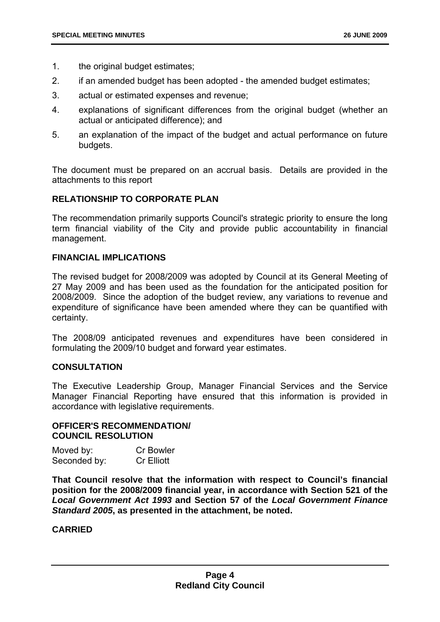- 1. the original budget estimates;
- 2. if an amended budget has been adopted the amended budget estimates;
- 3. actual or estimated expenses and revenue;
- 4. explanations of significant differences from the original budget (whether an actual or anticipated difference); and
- 5. an explanation of the impact of the budget and actual performance on future budgets.

The document must be prepared on an accrual basis. Details are provided in the attachments to this report

#### **RELATIONSHIP TO CORPORATE PLAN**

The recommendation primarily supports Council's strategic priority to ensure the long term financial viability of the City and provide public accountability in financial management.

#### **FINANCIAL IMPLICATIONS**

The revised budget for 2008/2009 was adopted by Council at its General Meeting of 27 May 2009 and has been used as the foundation for the anticipated position for 2008/2009. Since the adoption of the budget review, any variations to revenue and expenditure of significance have been amended where they can be quantified with certainty.

The 2008/09 anticipated revenues and expenditures have been considered in formulating the 2009/10 budget and forward year estimates.

#### **CONSULTATION**

The Executive Leadership Group, Manager Financial Services and the Service Manager Financial Reporting have ensured that this information is provided in accordance with legislative requirements.

#### **OFFICER'S RECOMMENDATION/ COUNCIL RESOLUTION**

| Moved by:    | <b>Cr Bowler</b>  |
|--------------|-------------------|
| Seconded by: | <b>Cr Elliott</b> |

**That Council resolve that the information with respect to Council's financial position for the 2008/2009 financial year, in accordance with Section 521 of the**  *Local Government Act 1993* **and Section 57 of the** *Local Government Finance Standard 2005***, as presented in the attachment, be noted.** 

#### **CARRIED**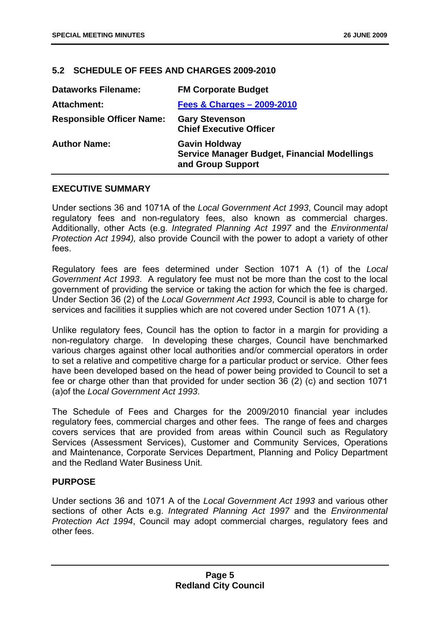#### <span id="page-6-0"></span>**5.2 SCHEDULE OF FEES AND CHARGES 2009-2010**

| <b>Dataworks Filename:</b>       | <b>FM Corporate Budget</b>                                                                |
|----------------------------------|-------------------------------------------------------------------------------------------|
| <b>Attachment:</b>               | <b>Fees &amp; Charges - 2009-2010</b>                                                     |
| <b>Responsible Officer Name:</b> | <b>Gary Stevenson</b><br><b>Chief Executive Officer</b>                                   |
| <b>Author Name:</b>              | <b>Gavin Holdway</b><br>Service Manager Budget, Financial Modellings<br>and Group Support |

#### **EXECUTIVE SUMMARY**

Under sections 36 and 1071A of the *Local Government Act 1993*, Council may adopt regulatory fees and non-regulatory fees, also known as commercial charges. Additionally, other Acts (e.g. *Integrated Planning Act 1997* and the *Environmental Protection Act 1994),* also provide Council with the power to adopt a variety of other fees.

Regulatory fees are fees determined under Section 1071 A (1) of the *Local Government Act 1993*. A regulatory fee must not be more than the cost to the local government of providing the service or taking the action for which the fee is charged. Under Section 36 (2) of the *Local Government Act 1993*, Council is able to charge for services and facilities it supplies which are not covered under Section 1071 A (1).

Unlike regulatory fees, Council has the option to factor in a margin for providing a non-regulatory charge. In developing these charges, Council have benchmarked various charges against other local authorities and/or commercial operators in order to set a relative and competitive charge for a particular product or service. Other fees have been developed based on the head of power being provided to Council to set a fee or charge other than that provided for under section 36 (2) (c) and section 1071 (a)of the *Local Government Act 1993*.

The Schedule of Fees and Charges for the 2009/2010 financial year includes regulatory fees, commercial charges and other fees. The range of fees and charges covers services that are provided from areas within Council such as Regulatory Services (Assessment Services), Customer and Community Services, Operations and Maintenance, Corporate Services Department, Planning and Policy Department and the Redland Water Business Unit.

#### **PURPOSE**

Under sections 36 and 1071 A of the *Local Government Act 1993* and various other sections of other Acts e.g. *Integrated Planning Act 1997* and the *Environmental Protection Act 1994*, Council may adopt commercial charges, regulatory fees and other fees.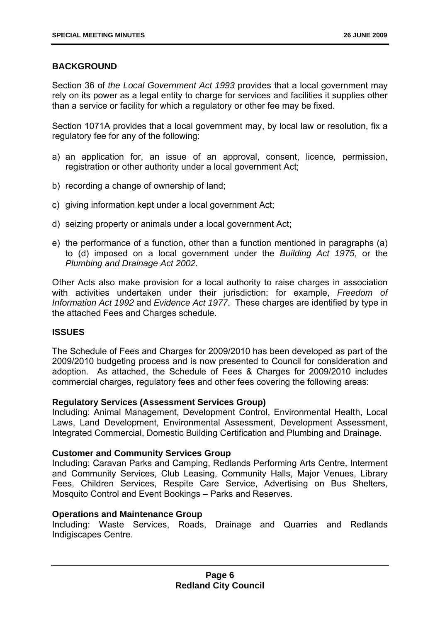#### **BACKGROUND**

Section 36 of *the Local Government Act 1993* provides that a local government may rely on its power as a legal entity to charge for services and facilities it supplies other than a service or facility for which a regulatory or other fee may be fixed.

Section 1071A provides that a local government may, by local law or resolution, fix a regulatory fee for any of the following:

- a) an application for, an issue of an approval, consent, licence, permission, registration or other authority under a local government Act;
- b) recording a change of ownership of land;
- c) giving information kept under a local government Act;
- d) seizing property or animals under a local government Act;
- e) the performance of a function, other than a function mentioned in paragraphs (a) to (d) imposed on a local government under the *Building Act 1975*, or the *Plumbing and Drainage Act 2002*.

Other Acts also make provision for a local authority to raise charges in association with activities undertaken under their jurisdiction: for example, *Freedom of Information Act 1992* and *Evidence Act 1977*. These charges are identified by type in the attached Fees and Charges schedule.

#### **ISSUES**

The Schedule of Fees and Charges for 2009/2010 has been developed as part of the 2009/2010 budgeting process and is now presented to Council for consideration and adoption. As attached, the Schedule of Fees & Charges for 2009/2010 includes commercial charges, regulatory fees and other fees covering the following areas:

#### **Regulatory Services (Assessment Services Group)**

Including: Animal Management, Development Control, Environmental Health, Local Laws, Land Development, Environmental Assessment, Development Assessment, Integrated Commercial, Domestic Building Certification and Plumbing and Drainage.

#### **Customer and Community Services Group**

Including: Caravan Parks and Camping, Redlands Performing Arts Centre, Interment and Community Services, Club Leasing, Community Halls, Major Venues, Library Fees, Children Services, Respite Care Service, Advertising on Bus Shelters, Mosquito Control and Event Bookings – Parks and Reserves.

#### **Operations and Maintenance Group**

Including: Waste Services, Roads, Drainage and Quarries and Redlands Indigiscapes Centre.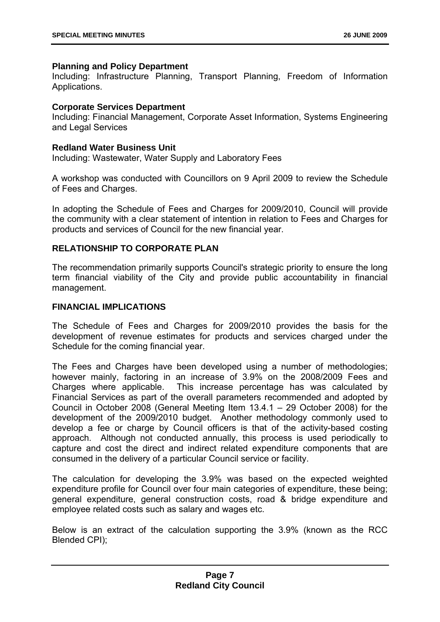#### **Planning and Policy Department**

Including: Infrastructure Planning, Transport Planning, Freedom of Information Applications.

#### **Corporate Services Department**

Including: Financial Management, Corporate Asset Information, Systems Engineering and Legal Services

#### **Redland Water Business Unit**

Including: Wastewater, Water Supply and Laboratory Fees

A workshop was conducted with Councillors on 9 April 2009 to review the Schedule of Fees and Charges.

In adopting the Schedule of Fees and Charges for 2009/2010, Council will provide the community with a clear statement of intention in relation to Fees and Charges for products and services of Council for the new financial year.

#### **RELATIONSHIP TO CORPORATE PLAN**

The recommendation primarily supports Council's strategic priority to ensure the long term financial viability of the City and provide public accountability in financial management.

#### **FINANCIAL IMPLICATIONS**

The Schedule of Fees and Charges for 2009/2010 provides the basis for the development of revenue estimates for products and services charged under the Schedule for the coming financial year.

The Fees and Charges have been developed using a number of methodologies; however mainly, factoring in an increase of 3.9% on the 2008/2009 Fees and Charges where applicable. This increase percentage has was calculated by Financial Services as part of the overall parameters recommended and adopted by Council in October 2008 (General Meeting Item 13.4.1 – 29 October 2008) for the development of the 2009/2010 budget. Another methodology commonly used to develop a fee or charge by Council officers is that of the activity-based costing approach. Although not conducted annually, this process is used periodically to capture and cost the direct and indirect related expenditure components that are consumed in the delivery of a particular Council service or facility.

The calculation for developing the 3.9% was based on the expected weighted expenditure profile for Council over four main categories of expenditure, these being; general expenditure, general construction costs, road & bridge expenditure and employee related costs such as salary and wages etc.

Below is an extract of the calculation supporting the 3.9% (known as the RCC Blended CPI);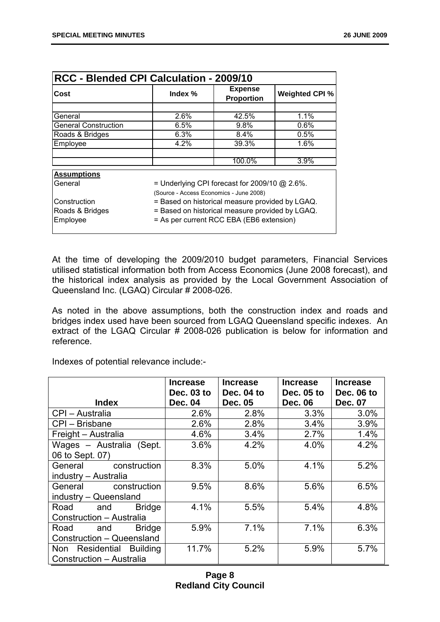| RCC - Blended CPI Calculation - 2009/10                                                               |                                                                                             |                              |      |  |  |
|-------------------------------------------------------------------------------------------------------|---------------------------------------------------------------------------------------------|------------------------------|------|--|--|
| Cost                                                                                                  | Index %                                                                                     | <b>Expense</b><br>Proportion |      |  |  |
|                                                                                                       |                                                                                             |                              |      |  |  |
| General                                                                                               | 2.6%                                                                                        | 42.5%                        | 1.1% |  |  |
| <b>General Construction</b>                                                                           | 6.5%                                                                                        | 9.8%                         | 0.6% |  |  |
| Roads & Bridges                                                                                       | 6.3%                                                                                        | 8.4%                         | 0.5% |  |  |
| Employee                                                                                              | 4.2%                                                                                        | 39.3%                        | 1.6% |  |  |
|                                                                                                       |                                                                                             | 100.0%                       | 3.9% |  |  |
| <b>Assumptions</b>                                                                                    |                                                                                             |                              |      |  |  |
| General<br>= Underlying CPI forecast for 2009/10 $@$ 2.6%.<br>(Source - Access Economics - June 2008) |                                                                                             |                              |      |  |  |
|                                                                                                       | Construction<br>= Based on historical measure provided by LGAQ.                             |                              |      |  |  |
| Roads & Bridges<br>Employee                                                                           | = Based on historical measure provided by LGAQ.<br>= As per current RCC EBA (EB6 extension) |                              |      |  |  |

At the time of developing the 2009/2010 budget parameters, Financial Services utilised statistical information both from Access Economics (June 2008 forecast), and the historical index analysis as provided by the Local Government Association of Queensland Inc. (LGAQ) Circular # 2008-026.

As noted in the above assumptions, both the construction index and roads and bridges index used have been sourced from LGAQ Queensland specific indexes. An extract of the LGAQ Circular # 2008-026 publication is below for information and reference.

Indexes of potential relevance include:-

|                              | <b>Increase</b><br>Dec. 03 to | <b>Increase</b><br>Dec. 04 to | <b>Increase</b><br>Dec. 05 to | <b>Increase</b><br>Dec. 06 to |
|------------------------------|-------------------------------|-------------------------------|-------------------------------|-------------------------------|
| <b>Index</b>                 | <b>Dec. 04</b>                | <b>Dec. 05</b>                | <b>Dec. 06</b>                | Dec. 07                       |
| CPI - Australia              | 2.6%                          | 2.8%                          | 3.3%                          | 3.0%                          |
| CPI - Brisbane               | 2.6%                          | 2.8%                          | 3.4%                          | 3.9%                          |
| Freight - Australia          | 4.6%                          | 3.4%                          | 2.7%                          | 1.4%                          |
| Wages - Australia (Sept.     | 3.6%                          | 4.2%                          | 4.0%                          | 4.2%                          |
| 06 to Sept. 07)              |                               |                               |                               |                               |
| construction<br>General      | 8.3%                          | 5.0%                          | 4.1%                          | 5.2%                          |
| industry - Australia         |                               |                               |                               |                               |
| General<br>construction      | 9.5%                          | 8.6%                          | 5.6%                          | 6.5%                          |
| industry - Queensland        |                               |                               |                               |                               |
| Road and<br><b>Bridge</b>    | 4.1%                          | 5.5%                          | 5.4%                          | 4.8%                          |
| Construction - Australia     |                               |                               |                               |                               |
| <b>Bridge</b><br>Road<br>and | 5.9%                          | 7.1%                          | 7.1%                          | 6.3%                          |
| Construction - Queensland    |                               |                               |                               |                               |
| Non Residential Building     | 11.7%                         | 5.2%                          | 5.9%                          | 5.7%                          |
| Construction - Australia     |                               |                               |                               |                               |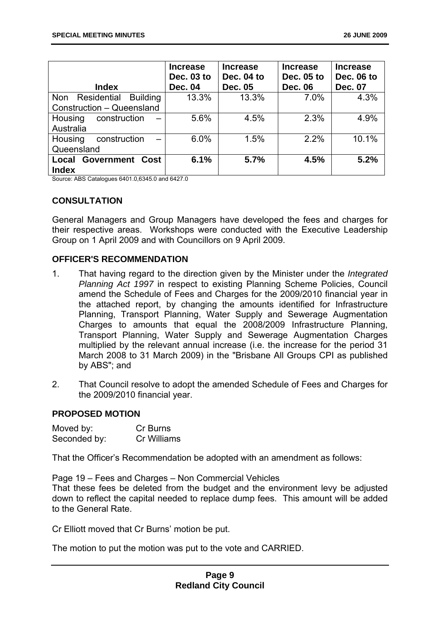| <b>Index</b>                                 | <b>Increase</b><br>Dec. 03 to<br><b>Dec. 04</b> | <b>Increase</b><br>Dec. 04 to<br>Dec. 05 | <b>Increase</b><br>Dec. 05 to<br><b>Dec. 06</b> | <b>Increase</b><br>Dec. 06 to<br><b>Dec. 07</b> |
|----------------------------------------------|-------------------------------------------------|------------------------------------------|-------------------------------------------------|-------------------------------------------------|
| Residential<br><b>Building</b><br><b>Non</b> | 13.3%                                           | 13.3%                                    | $7.0\%$                                         | 4.3%                                            |
| Construction - Queensland                    |                                                 |                                          |                                                 |                                                 |
| construction<br>Housing                      | 5.6%                                            | 4.5%                                     | 2.3%                                            | 4.9%                                            |
| Australia                                    |                                                 |                                          |                                                 |                                                 |
| Housing<br>construction                      | 6.0%                                            | 1.5%                                     | 2.2%                                            | 10.1%                                           |
| Queensland                                   |                                                 |                                          |                                                 |                                                 |
| <b>Local Government Cost</b><br><b>Index</b> | 6.1%                                            | 5.7%                                     | 4.5%                                            | 5.2%                                            |

Source: ABS Catalogues 6401.0,6345.0 and 6427.0

#### **CONSULTATION**

General Managers and Group Managers have developed the fees and charges for their respective areas. Workshops were conducted with the Executive Leadership Group on 1 April 2009 and with Councillors on 9 April 2009.

#### **OFFICER'S RECOMMENDATION**

- 1. That having regard to the direction given by the Minister under the *Integrated Planning Act 1997* in respect to existing Planning Scheme Policies, Council amend the Schedule of Fees and Charges for the 2009/2010 financial year in the attached report, by changing the amounts identified for Infrastructure Planning, Transport Planning, Water Supply and Sewerage Augmentation Charges to amounts that equal the 2008/2009 Infrastructure Planning, Transport Planning, Water Supply and Sewerage Augmentation Charges multiplied by the relevant annual increase (i.e. the increase for the period 31 March 2008 to 31 March 2009) in the "Brisbane All Groups CPI as published by ABS"; and
- 2. That Council resolve to adopt the amended Schedule of Fees and Charges for the 2009/2010 financial year.

#### **PROPOSED MOTION**

| Moved by:    | Cr Burns           |
|--------------|--------------------|
| Seconded by: | <b>Cr Williams</b> |

That the Officer's Recommendation be adopted with an amendment as follows:

Page 19 – Fees and Charges – Non Commercial Vehicles That these fees be deleted from the budget and the environment levy be adjusted down to reflect the capital needed to replace dump fees. This amount will be added to the General Rate.

Cr Elliott moved that Cr Burns' motion be put.

The motion to put the motion was put to the vote and CARRIED.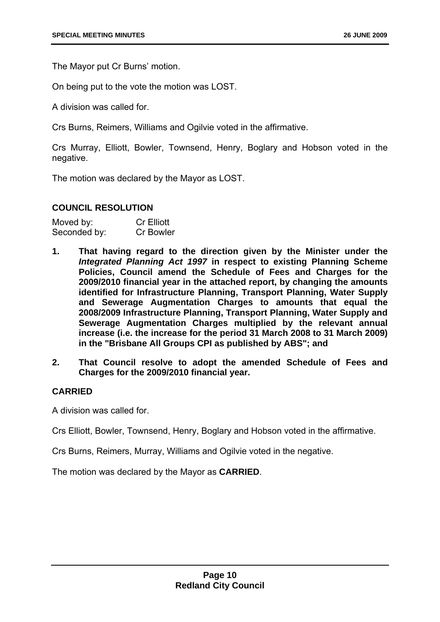The Mayor put Cr Burns' motion.

On being put to the vote the motion was LOST.

A division was called for.

Crs Burns, Reimers, Williams and Ogilvie voted in the affirmative.

Crs Murray, Elliott, Bowler, Townsend, Henry, Boglary and Hobson voted in the negative.

The motion was declared by the Mayor as LOST.

#### **COUNCIL RESOLUTION**

| Moved by:    | <b>Cr Elliott</b> |
|--------------|-------------------|
| Seconded by: | <b>Cr Bowler</b>  |

- **1. That having regard to the direction given by the Minister under the**  *Integrated Planning Act 1997* **in respect to existing Planning Scheme Policies, Council amend the Schedule of Fees and Charges for the 2009/2010 financial year in the attached report, by changing the amounts identified for Infrastructure Planning, Transport Planning, Water Supply and Sewerage Augmentation Charges to amounts that equal the 2008/2009 Infrastructure Planning, Transport Planning, Water Supply and Sewerage Augmentation Charges multiplied by the relevant annual increase (i.e. the increase for the period 31 March 2008 to 31 March 2009) in the "Brisbane All Groups CPI as published by ABS"; and**
- **2. That Council resolve to adopt the amended Schedule of Fees and Charges for the 2009/2010 financial year.**

#### **CARRIED**

A division was called for.

Crs Elliott, Bowler, Townsend, Henry, Boglary and Hobson voted in the affirmative.

Crs Burns, Reimers, Murray, Williams and Ogilvie voted in the negative.

The motion was declared by the Mayor as **CARRIED**.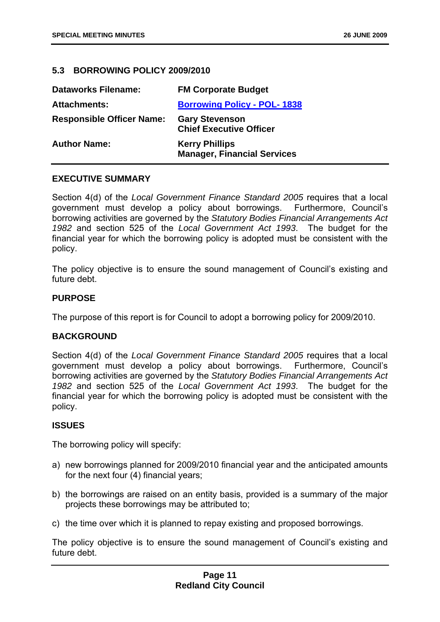#### <span id="page-12-0"></span>**5.3 BORROWING POLICY 2009/2010**

| <b>Dataworks Filename:</b>       | <b>FM Corporate Budget</b>                                  |
|----------------------------------|-------------------------------------------------------------|
| <b>Attachments:</b>              | <b>Borrowing Policy - POL-1838</b>                          |
| <b>Responsible Officer Name:</b> | <b>Gary Stevenson</b><br><b>Chief Executive Officer</b>     |
| <b>Author Name:</b>              | <b>Kerry Phillips</b><br><b>Manager, Financial Services</b> |

#### **EXECUTIVE SUMMARY**

Section 4(d) of the *Local Government Finance Standard 2005* requires that a local government must develop a policy about borrowings. Furthermore, Council's borrowing activities are governed by the *Statutory Bodies Financial Arrangements Act 1982* and section 525 of the *Local Government Act 1993*. The budget for the financial year for which the borrowing policy is adopted must be consistent with the policy.

The policy objective is to ensure the sound management of Council's existing and future debt

#### **PURPOSE**

The purpose of this report is for Council to adopt a borrowing policy for 2009/2010.

#### **BACKGROUND**

Section 4(d) of the *Local Government Finance Standard 2005* requires that a local government must develop a policy about borrowings. Furthermore, Council's borrowing activities are governed by the *Statutory Bodies Financial Arrangements Act 1982* and section 525 of the *Local Government Act 1993*. The budget for the financial year for which the borrowing policy is adopted must be consistent with the policy.

#### **ISSUES**

The borrowing policy will specify:

- a) new borrowings planned for 2009/2010 financial year and the anticipated amounts for the next four (4) financial years;
- b) the borrowings are raised on an entity basis, provided is a summary of the major projects these borrowings may be attributed to;
- c) the time over which it is planned to repay existing and proposed borrowings.

The policy objective is to ensure the sound management of Council's existing and future debt.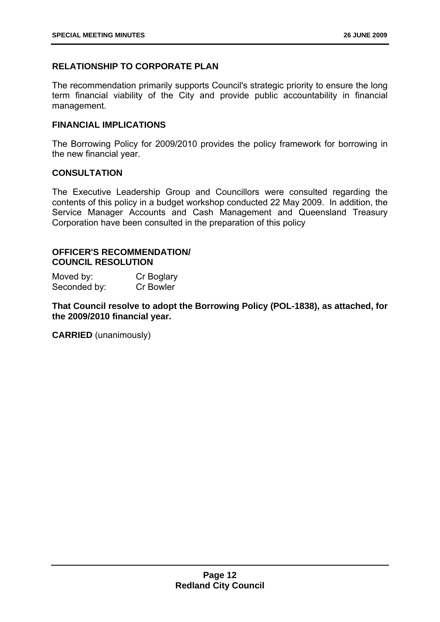#### **RELATIONSHIP TO CORPORATE PLAN**

The recommendation primarily supports Council's strategic priority to ensure the long term financial viability of the City and provide public accountability in financial management.

#### **FINANCIAL IMPLICATIONS**

The Borrowing Policy for 2009/2010 provides the policy framework for borrowing in the new financial year.

#### **CONSULTATION**

The Executive Leadership Group and Councillors were consulted regarding the contents of this policy in a budget workshop conducted 22 May 2009. In addition, the Service Manager Accounts and Cash Management and Queensland Treasury Corporation have been consulted in the preparation of this policy

#### **OFFICER'S RECOMMENDATION/ COUNCIL RESOLUTION**

Moved by: Cr Boglary Seconded by: Cr Bowler

**That Council resolve to adopt the Borrowing Policy (POL-1838), as attached, for the 2009/2010 financial year.** 

**CARRIED** (unanimously)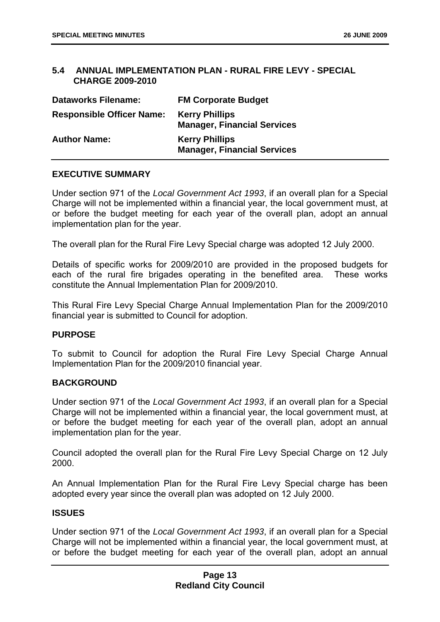#### <span id="page-14-0"></span>**5.4 ANNUAL IMPLEMENTATION PLAN - RURAL FIRE LEVY - SPECIAL CHARGE 2009-2010**

| <b>Dataworks Filename:</b>       | <b>FM Corporate Budget</b>                                  |
|----------------------------------|-------------------------------------------------------------|
| <b>Responsible Officer Name:</b> | <b>Kerry Phillips</b><br><b>Manager, Financial Services</b> |
| <b>Author Name:</b>              | <b>Kerry Phillips</b><br><b>Manager, Financial Services</b> |

#### **EXECUTIVE SUMMARY**

Under section 971 of the *Local Government Act 1993*, if an overall plan for a Special Charge will not be implemented within a financial year, the local government must, at or before the budget meeting for each year of the overall plan, adopt an annual implementation plan for the year.

The overall plan for the Rural Fire Levy Special charge was adopted 12 July 2000.

Details of specific works for 2009/2010 are provided in the proposed budgets for each of the rural fire brigades operating in the benefited area. These works constitute the Annual Implementation Plan for 2009/2010.

This Rural Fire Levy Special Charge Annual Implementation Plan for the 2009/2010 financial year is submitted to Council for adoption.

#### **PURPOSE**

To submit to Council for adoption the Rural Fire Levy Special Charge Annual Implementation Plan for the 2009/2010 financial year.

#### **BACKGROUND**

Under section 971 of the *Local Government Act 1993*, if an overall plan for a Special Charge will not be implemented within a financial year, the local government must, at or before the budget meeting for each year of the overall plan, adopt an annual implementation plan for the year.

Council adopted the overall plan for the Rural Fire Levy Special Charge on 12 July 2000.

An Annual Implementation Plan for the Rural Fire Levy Special charge has been adopted every year since the overall plan was adopted on 12 July 2000.

#### **ISSUES**

Under section 971 of the *Local Government Act 1993*, if an overall plan for a Special Charge will not be implemented within a financial year, the local government must, at or before the budget meeting for each year of the overall plan, adopt an annual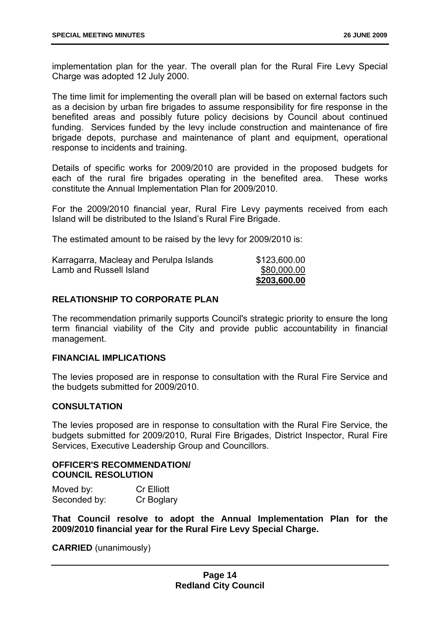implementation plan for the year. The overall plan for the Rural Fire Levy Special Charge was adopted 12 July 2000.

The time limit for implementing the overall plan will be based on external factors such as a decision by urban fire brigades to assume responsibility for fire response in the benefited areas and possibly future policy decisions by Council about continued funding. Services funded by the levy include construction and maintenance of fire brigade depots, purchase and maintenance of plant and equipment, operational response to incidents and training.

Details of specific works for 2009/2010 are provided in the proposed budgets for each of the rural fire brigades operating in the benefited area. These works constitute the Annual Implementation Plan for 2009/2010.

For the 2009/2010 financial year, Rural Fire Levy payments received from each Island will be distributed to the Island's Rural Fire Brigade.

The estimated amount to be raised by the levy for 2009/2010 is:

| Karragarra, Macleay and Perulpa Islands | \$123,600.00 |
|-----------------------------------------|--------------|
| Lamb and Russell Island                 | \$80,000.00  |
|                                         | \$203,600.00 |

#### **RELATIONSHIP TO CORPORATE PLAN**

The recommendation primarily supports Council's strategic priority to ensure the long term financial viability of the City and provide public accountability in financial management.

#### **FINANCIAL IMPLICATIONS**

The levies proposed are in response to consultation with the Rural Fire Service and the budgets submitted for 2009/2010.

#### **CONSULTATION**

The levies proposed are in response to consultation with the Rural Fire Service, the budgets submitted for 2009/2010, Rural Fire Brigades, District Inspector, Rural Fire Services, Executive Leadership Group and Councillors.

#### **OFFICER'S RECOMMENDATION/ COUNCIL RESOLUTION**

| Moved by:    | <b>Cr Elliott</b> |
|--------------|-------------------|
| Seconded by: | Cr Boglary        |

**That Council resolve to adopt the Annual Implementation Plan for the 2009/2010 financial year for the Rural Fire Levy Special Charge.** 

**CARRIED** (unanimously)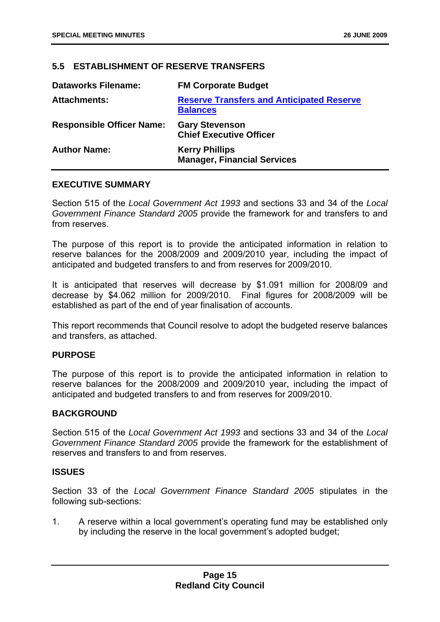#### <span id="page-16-0"></span>**5.5 ESTABLISHMENT OF RESERVE TRANSFERS**

| <b>Dataworks Filename:</b>       | <b>FM Corporate Budget</b>                                          |
|----------------------------------|---------------------------------------------------------------------|
| <b>Attachments:</b>              | <b>Reserve Transfers and Anticipated Reserve</b><br><b>Balances</b> |
| <b>Responsible Officer Name:</b> | <b>Gary Stevenson</b><br><b>Chief Executive Officer</b>             |
| <b>Author Name:</b>              | <b>Kerry Phillips</b><br><b>Manager, Financial Services</b>         |

#### **EXECUTIVE SUMMARY**

Section 515 of the *Local Government Act 1993* and sections 33 and 34 of the *Local Government Finance Standard 2005* provide the framework for and transfers to and from reserves.

The purpose of this report is to provide the anticipated information in relation to reserve balances for the 2008/2009 and 2009/2010 year, including the impact of anticipated and budgeted transfers to and from reserves for 2009/2010.

It is anticipated that reserves will decrease by \$1.091 million for 2008/09 and decrease by \$4.062 million for 2009/2010. Final figures for 2008/2009 will be established as part of the end of year finalisation of accounts.

This report recommends that Council resolve to adopt the budgeted reserve balances and transfers, as attached.

#### **PURPOSE**

The purpose of this report is to provide the anticipated information in relation to reserve balances for the 2008/2009 and 2009/2010 year, including the impact of anticipated and budgeted transfers to and from reserves for 2009/2010.

#### **BACKGROUND**

Section 515 of the *Local Government Act 1993* and sections 33 and 34 of the *Local Government Finance Standard 2005* provide the framework for the establishment of reserves and transfers to and from reserves.

#### **ISSUES**

Section 33 of the *Local Government Finance Standard 2005* stipulates in the following sub-sections:

1. A reserve within a local government's operating fund may be established only by including the reserve in the local government's adopted budget;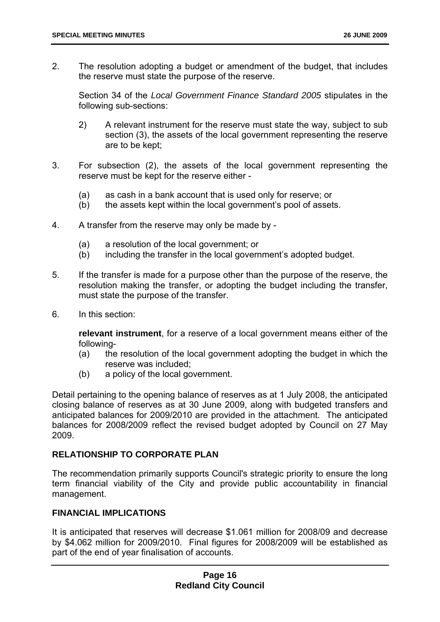2. The resolution adopting a budget or amendment of the budget, that includes the reserve must state the purpose of the reserve.

Section 34 of the *Local Government Finance Standard 2005* stipulates in the following sub-sections:

- 2) A relevant instrument for the reserve must state the way, subject to sub section (3), the assets of the local government representing the reserve are to be kept;
- 3. For subsection (2), the assets of the local government representing the reserve must be kept for the reserve either -
	- (a) as cash in a bank account that is used only for reserve; or
	- (b) the assets kept within the local government's pool of assets.
- 4. A transfer from the reserve may only be made by
	- (a) a resolution of the local government; or
	- (b) including the transfer in the local government's adopted budget.
- 5. If the transfer is made for a purpose other than the purpose of the reserve, the resolution making the transfer, or adopting the budget including the transfer, must state the purpose of the transfer.
- 6. In this section:

**relevant instrument**, for a reserve of a local government means either of the following-

- (a) the resolution of the local government adopting the budget in which the reserve was included;
- (b) a policy of the local government.

Detail pertaining to the opening balance of reserves as at 1 July 2008, the anticipated closing balance of reserves as at 30 June 2009, along with budgeted transfers and anticipated balances for 2009/2010 are provided in the attachment. The anticipated balances for 2008/2009 reflect the revised budget adopted by Council on 27 May 2009.

#### **RELATIONSHIP TO CORPORATE PLAN**

The recommendation primarily supports Council's strategic priority to ensure the long term financial viability of the City and provide public accountability in financial management.

#### **FINANCIAL IMPLICATIONS**

It is anticipated that reserves will decrease \$1.061 million for 2008/09 and decrease by \$4.062 million for 2009/2010. Final figures for 2008/2009 will be established as part of the end of year finalisation of accounts.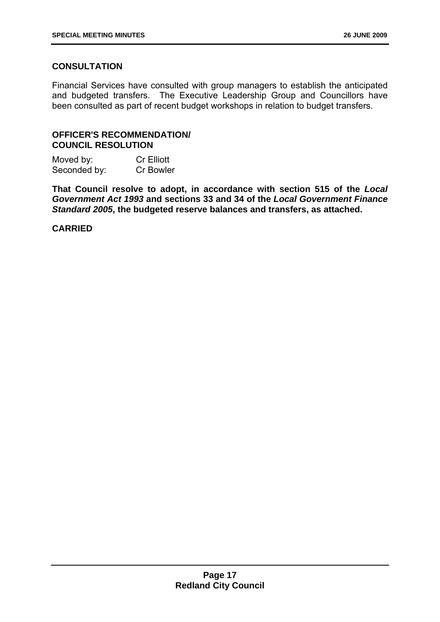#### **CONSULTATION**

Financial Services have consulted with group managers to establish the anticipated and budgeted transfers. The Executive Leadership Group and Councillors have been consulted as part of recent budget workshops in relation to budget transfers.

#### **OFFICER'S RECOMMENDATION/ COUNCIL RESOLUTION**

| Moved by:    | <b>Cr Elliott</b> |
|--------------|-------------------|
| Seconded by: | <b>Cr Bowler</b>  |

**That Council resolve to adopt, in accordance with section 515 of the** *Local Government Act 1993* **and sections 33 and 34 of the** *Local Government Finance Standard 2005***, the budgeted reserve balances and transfers, as attached.** 

#### **CARRIED**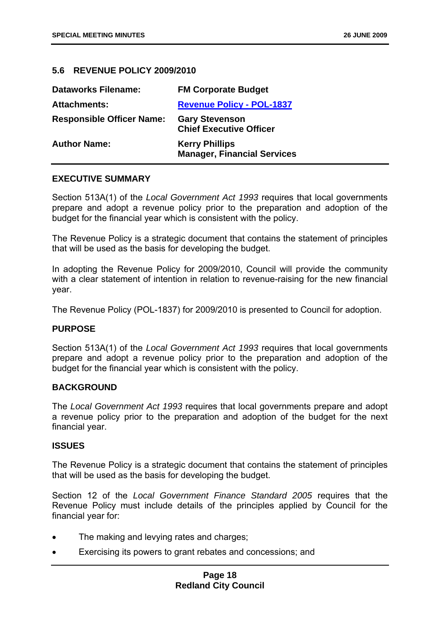#### <span id="page-19-0"></span>**5.6 REVENUE POLICY 2009/2010**

| <b>Dataworks Filename:</b>       | <b>FM Corporate Budget</b>                                  |
|----------------------------------|-------------------------------------------------------------|
| <b>Attachments:</b>              | <b>Revenue Policy - POL-1837</b>                            |
| <b>Responsible Officer Name:</b> | <b>Gary Stevenson</b><br><b>Chief Executive Officer</b>     |
| <b>Author Name:</b>              | <b>Kerry Phillips</b><br><b>Manager, Financial Services</b> |

#### **EXECUTIVE SUMMARY**

Section 513A(1) of the *Local Government Act 1993* requires that local governments prepare and adopt a revenue policy prior to the preparation and adoption of the budget for the financial year which is consistent with the policy.

The Revenue Policy is a strategic document that contains the statement of principles that will be used as the basis for developing the budget.

In adopting the Revenue Policy for 2009/2010, Council will provide the community with a clear statement of intention in relation to revenue-raising for the new financial year.

The Revenue Policy (POL-1837) for 2009/2010 is presented to Council for adoption.

#### **PURPOSE**

Section 513A(1) of the *Local Government Act 1993* requires that local governments prepare and adopt a revenue policy prior to the preparation and adoption of the budget for the financial year which is consistent with the policy.

#### **BACKGROUND**

The *Local Government Act 1993* requires that local governments prepare and adopt a revenue policy prior to the preparation and adoption of the budget for the next financial year.

#### **ISSUES**

The Revenue Policy is a strategic document that contains the statement of principles that will be used as the basis for developing the budget.

Section 12 of the *Local Government Finance Standard 2005* requires that the Revenue Policy must include details of the principles applied by Council for the financial year for:

- The making and levying rates and charges;
- Exercising its powers to grant rebates and concessions; and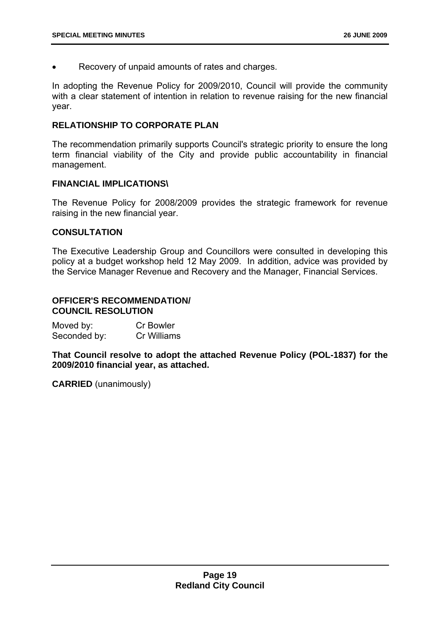Recovery of unpaid amounts of rates and charges.

In adopting the Revenue Policy for 2009/2010, Council will provide the community with a clear statement of intention in relation to revenue raising for the new financial year.

#### **RELATIONSHIP TO CORPORATE PLAN**

The recommendation primarily supports Council's strategic priority to ensure the long term financial viability of the City and provide public accountability in financial management.

#### **FINANCIAL IMPLICATIONS\**

The Revenue Policy for 2008/2009 provides the strategic framework for revenue raising in the new financial year.

#### **CONSULTATION**

The Executive Leadership Group and Councillors were consulted in developing this policy at a budget workshop held 12 May 2009. In addition, advice was provided by the Service Manager Revenue and Recovery and the Manager, Financial Services.

#### **OFFICER'S RECOMMENDATION/ COUNCIL RESOLUTION**

| Moved by:    | <b>Cr Bowler</b> |
|--------------|------------------|
| Seconded by: | Cr Williams      |

**That Council resolve to adopt the attached Revenue Policy (POL-1837) for the 2009/2010 financial year, as attached.** 

**CARRIED** (unanimously)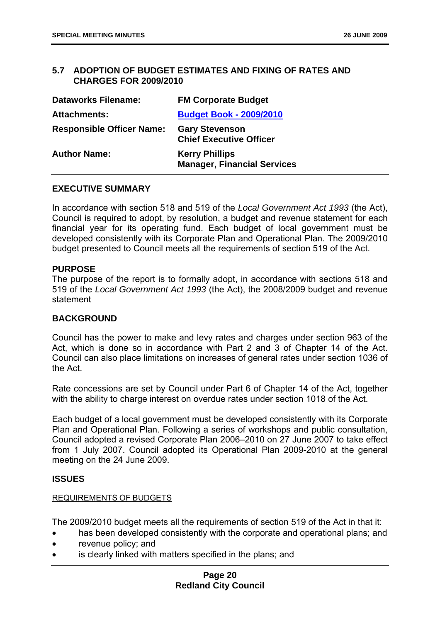#### <span id="page-21-0"></span>**5.7 ADOPTION OF BUDGET ESTIMATES AND FIXING OF RATES AND CHARGES FOR 2009/2010**

| <b>Dataworks Filename:</b>       | <b>FM Corporate Budget</b>                                  |
|----------------------------------|-------------------------------------------------------------|
| <b>Attachments:</b>              | <b>Budget Book - 2009/2010</b>                              |
| <b>Responsible Officer Name:</b> | <b>Gary Stevenson</b><br><b>Chief Executive Officer</b>     |
| <b>Author Name:</b>              | <b>Kerry Phillips</b><br><b>Manager, Financial Services</b> |

#### **EXECUTIVE SUMMARY**

In accordance with section 518 and 519 of the *Local Government Act 1993* (the Act), Council is required to adopt, by resolution, a budget and revenue statement for each financial year for its operating fund. Each budget of local government must be developed consistently with its Corporate Plan and Operational Plan. The 2009/2010 budget presented to Council meets all the requirements of section 519 of the Act.

#### **PURPOSE**

The purpose of the report is to formally adopt, in accordance with sections 518 and 519 of the *Local Government Act 1993* (the Act), the 2008/2009 budget and revenue statement

#### **BACKGROUND**

Council has the power to make and levy rates and charges under section 963 of the Act, which is done so in accordance with Part 2 and 3 of Chapter 14 of the Act. Council can also place limitations on increases of general rates under section 1036 of the Act.

Rate concessions are set by Council under Part 6 of Chapter 14 of the Act, together with the ability to charge interest on overdue rates under section 1018 of the Act.

Each budget of a local government must be developed consistently with its Corporate Plan and Operational Plan. Following a series of workshops and public consultation, Council adopted a revised Corporate Plan 2006–2010 on 27 June 2007 to take effect from 1 July 2007. Council adopted its Operational Plan 2009-2010 at the general meeting on the 24 June 2009.

#### **ISSUES**

#### REQUIREMENTS OF BUDGETS

The 2009/2010 budget meets all the requirements of section 519 of the Act in that it:

- has been developed consistently with the corporate and operational plans; and
- revenue policy; and
- is clearly linked with matters specified in the plans; and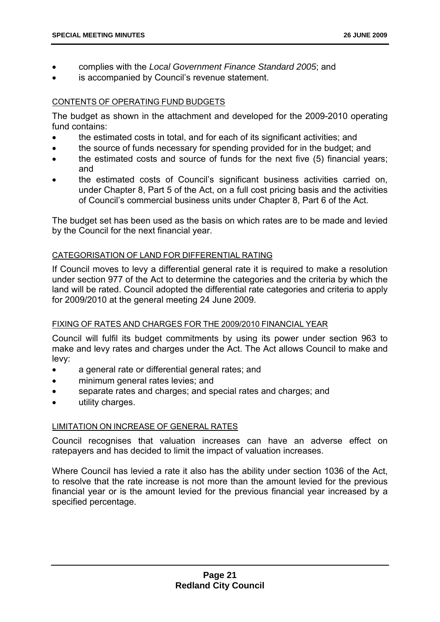- complies with the *Local Government Finance Standard 2005*; and
- is accompanied by Council's revenue statement.

#### CONTENTS OF OPERATING FUND BUDGETS

The budget as shown in the attachment and developed for the 2009-2010 operating fund contains:

- the estimated costs in total, and for each of its significant activities; and
- the source of funds necessary for spending provided for in the budget; and
- the estimated costs and source of funds for the next five (5) financial years; and
- the estimated costs of Council's significant business activities carried on, under Chapter 8, Part 5 of the Act, on a full cost pricing basis and the activities of Council's commercial business units under Chapter 8, Part 6 of the Act.

The budget set has been used as the basis on which rates are to be made and levied by the Council for the next financial year.

#### CATEGORISATION OF LAND FOR DIFFERENTIAL RATING

If Council moves to levy a differential general rate it is required to make a resolution under section 977 of the Act to determine the categories and the criteria by which the land will be rated. Council adopted the differential rate categories and criteria to apply for 2009/2010 at the general meeting 24 June 2009.

#### FIXING OF RATES AND CHARGES FOR THE 2009/2010 FINANCIAL YEAR

Council will fulfil its budget commitments by using its power under section 963 to make and levy rates and charges under the Act. The Act allows Council to make and levy:

- a general rate or differential general rates; and
- minimum general rates levies; and
- separate rates and charges; and special rates and charges; and
- utility charges.

#### LIMITATION ON INCREASE OF GENERAL RATES

Council recognises that valuation increases can have an adverse effect on ratepayers and has decided to limit the impact of valuation increases.

Where Council has levied a rate it also has the ability under section 1036 of the Act, to resolve that the rate increase is not more than the amount levied for the previous financial year or is the amount levied for the previous financial year increased by a specified percentage.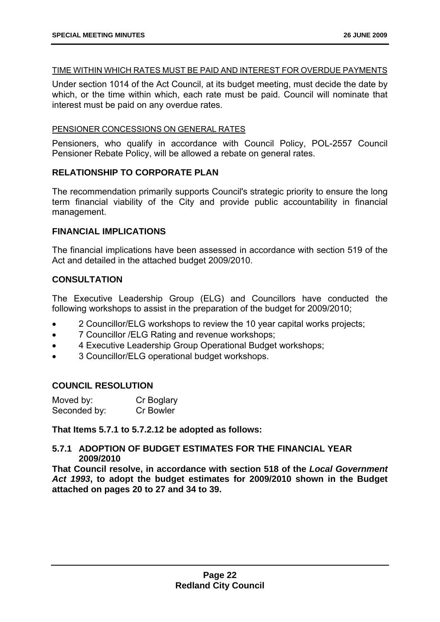#### TIME WITHIN WHICH RATES MUST BE PAID AND INTEREST FOR OVERDUE PAYMENTS

Under section 1014 of the Act Council, at its budget meeting, must decide the date by which, or the time within which, each rate must be paid. Council will nominate that interest must be paid on any overdue rates.

#### PENSIONER CONCESSIONS ON GENERAL RATES

Pensioners, who qualify in accordance with Council Policy, POL-2557 Council Pensioner Rebate Policy, will be allowed a rebate on general rates.

#### **RELATIONSHIP TO CORPORATE PLAN**

The recommendation primarily supports Council's strategic priority to ensure the long term financial viability of the City and provide public accountability in financial management.

#### **FINANCIAL IMPLICATIONS**

The financial implications have been assessed in accordance with section 519 of the Act and detailed in the attached budget 2009/2010.

#### **CONSULTATION**

The Executive Leadership Group (ELG) and Councillors have conducted the following workshops to assist in the preparation of the budget for 2009/2010;

- 2 Councillor/ELG workshops to review the 10 year capital works projects;
- 7 Councillor / ELG Rating and revenue workshops;
- 4 Executive Leadership Group Operational Budget workshops;
- 3 Councillor/ELG operational budget workshops.

#### **COUNCIL RESOLUTION**

| Moved by:    | Cr Boglary |
|--------------|------------|
| Seconded by: | Cr Bowler  |

**That Items 5.7.1 to 5.7.2.12 be adopted as follows:** 

#### **5.7.1 ADOPTION OF BUDGET ESTIMATES FOR THE FINANCIAL YEAR 2009/2010**

**That Council resolve, in accordance with section 518 of the** *Local Government Act 1993***, to adopt the budget estimates for 2009/2010 shown in the Budget attached on pages 20 to 27 and 34 to 39.**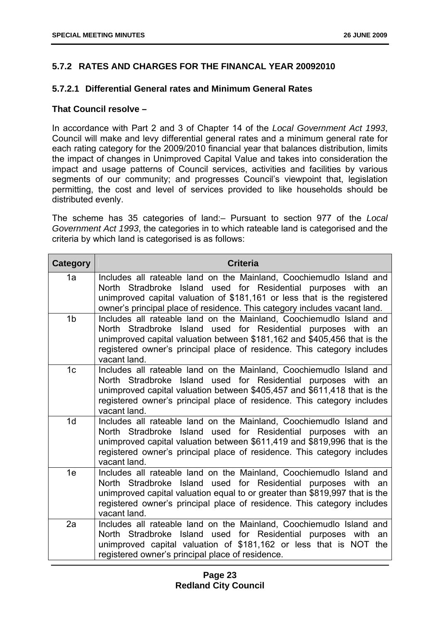#### **5.7.2 RATES AND CHARGES FOR THE FINANCAL YEAR 20092010**

#### **5.7.2.1 Differential General rates and Minimum General Rates**

#### **That Council resolve –**

In accordance with Part 2 and 3 of Chapter 14 of the *Local Government Act 1993*, Council will make and levy differential general rates and a minimum general rate for each rating category for the 2009/2010 financial year that balances distribution, limits the impact of changes in Unimproved Capital Value and takes into consideration the impact and usage patterns of Council services, activities and facilities by various segments of our community; and progresses Council's viewpoint that, legislation permitting, the cost and level of services provided to like households should be distributed evenly.

The scheme has 35 categories of land:– Pursuant to section 977 of the *Local Government Act 1993*, the categories in to which rateable land is categorised and the criteria by which land is categorised is as follows:

| <b>Category</b> | <b>Criteria</b>                                                                                                                                                                                                                                                                                                |
|-----------------|----------------------------------------------------------------------------------------------------------------------------------------------------------------------------------------------------------------------------------------------------------------------------------------------------------------|
| 1a              | Includes all rateable land on the Mainland, Coochiemudlo Island and<br>North Stradbroke Island used for Residential purposes with an<br>unimproved capital valuation of \$181,161 or less that is the registered<br>owner's principal place of residence. This category includes vacant land.                  |
| 1 <sub>b</sub>  | Includes all rateable land on the Mainland, Coochiemudlo Island and<br>North Stradbroke Island used for Residential purposes with an<br>unimproved capital valuation between \$181,162 and \$405,456 that is the<br>registered owner's principal place of residence. This category includes<br>vacant land.    |
| 1 <sub>c</sub>  | Includes all rateable land on the Mainland, Coochiemudlo Island and<br>North Stradbroke Island used for Residential purposes with an<br>unimproved capital valuation between \$405,457 and \$611,418 that is the<br>registered owner's principal place of residence. This category includes<br>vacant land.    |
| 1 <sub>d</sub>  | Includes all rateable land on the Mainland, Coochiemudlo Island and<br>North Stradbroke Island used for Residential purposes with an<br>unimproved capital valuation between \$611,419 and \$819,996 that is the<br>registered owner's principal place of residence. This category includes<br>vacant land.    |
| 1e              | Includes all rateable land on the Mainland, Coochiemudlo Island and<br>North Stradbroke Island used for Residential purposes with an<br>unimproved capital valuation equal to or greater than \$819,997 that is the<br>registered owner's principal place of residence. This category includes<br>vacant land. |
| 2a              | Includes all rateable land on the Mainland, Coochiemudlo Island and<br>North Stradbroke Island used for Residential purposes with<br>an<br>unimproved capital valuation of \$181,162 or less that is NOT the<br>registered owner's principal place of residence.                                               |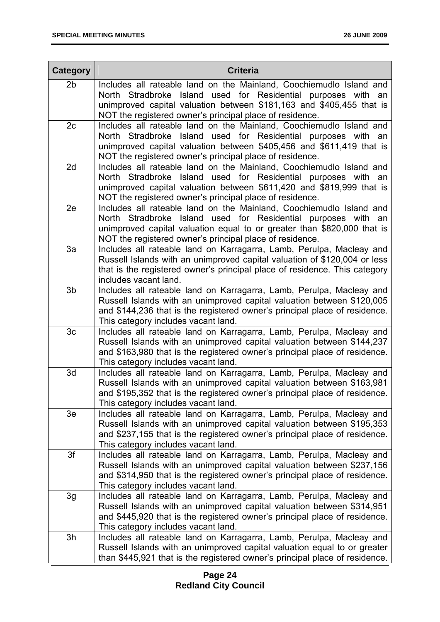| <b>Category</b> | <b>Criteria</b>                                                                                                                                                                                                                                                             |
|-----------------|-----------------------------------------------------------------------------------------------------------------------------------------------------------------------------------------------------------------------------------------------------------------------------|
| 2 <sub>b</sub>  | Includes all rateable land on the Mainland, Coochiemudlo Island and<br>North Stradbroke Island used for Residential purposes with an<br>unimproved capital valuation between \$181,163 and \$405,455 that is<br>NOT the registered owner's principal place of residence.    |
| 2c              | Includes all rateable land on the Mainland, Coochiemudlo Island and<br>North Stradbroke Island used for Residential purposes with an<br>unimproved capital valuation between \$405,456 and \$611,419 that is<br>NOT the registered owner's principal place of residence.    |
| 2d              | Includes all rateable land on the Mainland, Coochiemudlo Island and<br>North Stradbroke Island used for Residential purposes with an<br>unimproved capital valuation between \$611,420 and \$819,999 that is<br>NOT the registered owner's principal place of residence.    |
| 2e              | Includes all rateable land on the Mainland, Coochiemudlo Island and<br>North Stradbroke Island used for Residential purposes with an<br>unimproved capital valuation equal to or greater than \$820,000 that is<br>NOT the registered owner's principal place of residence. |
| 3a              | Includes all rateable land on Karragarra, Lamb, Perulpa, Macleay and<br>Russell Islands with an unimproved capital valuation of \$120,004 or less<br>that is the registered owner's principal place of residence. This category<br>includes vacant land.                    |
| 3b              | Includes all rateable land on Karragarra, Lamb, Perulpa, Macleay and<br>Russell Islands with an unimproved capital valuation between \$120,005<br>and \$144,236 that is the registered owner's principal place of residence.<br>This category includes vacant land.         |
| 3c              | Includes all rateable land on Karragarra, Lamb, Perulpa, Macleay and<br>Russell Islands with an unimproved capital valuation between \$144,237<br>and \$163,980 that is the registered owner's principal place of residence.<br>This category includes vacant land.         |
| 3d              | Includes all rateable land on Karragarra, Lamb, Perulpa, Macleay and<br>Russell Islands with an unimproved capital valuation between \$163,981<br>and \$195,352 that is the registered owner's principal place of residence.<br>This category includes vacant land.         |
| 3e              | Includes all rateable land on Karragarra, Lamb, Perulpa, Macleay and<br>Russell Islands with an unimproved capital valuation between \$195,353<br>and \$237,155 that is the registered owner's principal place of residence.<br>This category includes vacant land.         |
| 3f              | Includes all rateable land on Karragarra, Lamb, Perulpa, Macleay and<br>Russell Islands with an unimproved capital valuation between \$237,156<br>and \$314,950 that is the registered owner's principal place of residence.<br>This category includes vacant land.         |
| 3g              | Includes all rateable land on Karragarra, Lamb, Perulpa, Macleay and<br>Russell Islands with an unimproved capital valuation between \$314,951<br>and \$445,920 that is the registered owner's principal place of residence.<br>This category includes vacant land.         |
| 3h              | Includes all rateable land on Karragarra, Lamb, Perulpa, Macleay and<br>Russell Islands with an unimproved capital valuation equal to or greater<br>than \$445,921 that is the registered owner's principal place of residence.                                             |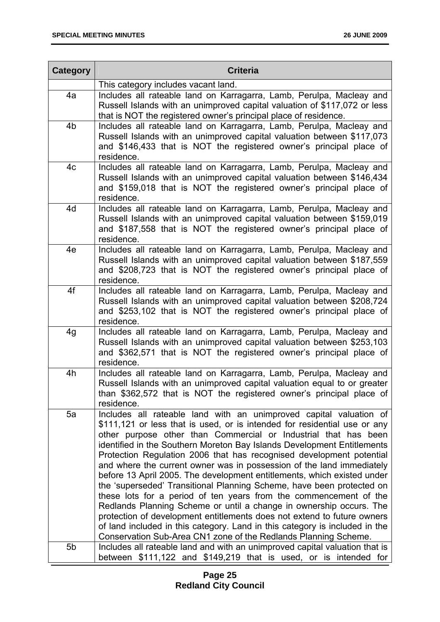| Category       | <b>Criteria</b>                                                                                                                                                                                                                                                                                                                                                                                                                                                                                                                                                                                                                                                                                                                                                                                                                                                                                                                                                             |  |  |  |
|----------------|-----------------------------------------------------------------------------------------------------------------------------------------------------------------------------------------------------------------------------------------------------------------------------------------------------------------------------------------------------------------------------------------------------------------------------------------------------------------------------------------------------------------------------------------------------------------------------------------------------------------------------------------------------------------------------------------------------------------------------------------------------------------------------------------------------------------------------------------------------------------------------------------------------------------------------------------------------------------------------|--|--|--|
|                | This category includes vacant land.                                                                                                                                                                                                                                                                                                                                                                                                                                                                                                                                                                                                                                                                                                                                                                                                                                                                                                                                         |  |  |  |
| 4a             | Includes all rateable land on Karragarra, Lamb, Perulpa, Macleay and<br>Russell Islands with an unimproved capital valuation of \$117,072 or less<br>that is NOT the registered owner's principal place of residence.                                                                                                                                                                                                                                                                                                                                                                                                                                                                                                                                                                                                                                                                                                                                                       |  |  |  |
| 4 <sub>b</sub> | Includes all rateable land on Karragarra, Lamb, Perulpa, Macleay and<br>Russell Islands with an unimproved capital valuation between \$117,073<br>and \$146,433 that is NOT the registered owner's principal place of<br>residence.                                                                                                                                                                                                                                                                                                                                                                                                                                                                                                                                                                                                                                                                                                                                         |  |  |  |
| 4c             | Includes all rateable land on Karragarra, Lamb, Perulpa, Macleay and<br>Russell Islands with an unimproved capital valuation between \$146,434<br>and \$159,018 that is NOT the registered owner's principal place of<br>residence.                                                                                                                                                                                                                                                                                                                                                                                                                                                                                                                                                                                                                                                                                                                                         |  |  |  |
| 4d             | Includes all rateable land on Karragarra, Lamb, Perulpa, Macleay and<br>Russell Islands with an unimproved capital valuation between \$159,019<br>and \$187,558 that is NOT the registered owner's principal place of<br>residence.                                                                                                                                                                                                                                                                                                                                                                                                                                                                                                                                                                                                                                                                                                                                         |  |  |  |
| 4e             | Includes all rateable land on Karragarra, Lamb, Perulpa, Macleay and<br>Russell Islands with an unimproved capital valuation between \$187,559<br>and \$208,723 that is NOT the registered owner's principal place of<br>residence.                                                                                                                                                                                                                                                                                                                                                                                                                                                                                                                                                                                                                                                                                                                                         |  |  |  |
| 4f             | Includes all rateable land on Karragarra, Lamb, Perulpa, Macleay and<br>Russell Islands with an unimproved capital valuation between \$208,724<br>and \$253,102 that is NOT the registered owner's principal place of<br>residence.                                                                                                                                                                                                                                                                                                                                                                                                                                                                                                                                                                                                                                                                                                                                         |  |  |  |
| 4g             | Includes all rateable land on Karragarra, Lamb, Perulpa, Macleay and<br>Russell Islands with an unimproved capital valuation between \$253,103<br>and \$362,571 that is NOT the registered owner's principal place of<br>residence.                                                                                                                                                                                                                                                                                                                                                                                                                                                                                                                                                                                                                                                                                                                                         |  |  |  |
| 4h             | Includes all rateable land on Karragarra, Lamb, Perulpa, Macleay and<br>Russell Islands with an unimproved capital valuation equal to or greater<br>than \$362,572 that is NOT the registered owner's principal place of<br>residence.                                                                                                                                                                                                                                                                                                                                                                                                                                                                                                                                                                                                                                                                                                                                      |  |  |  |
| 5a             | Includes all rateable land with an unimproved capital valuation of<br>\$111,121 or less that is used, or is intended for residential use or any<br>other purpose other than Commercial or Industrial that has been<br>identified in the Southern Moreton Bay Islands Development Entitlements<br>Protection Regulation 2006 that has recognised development potential<br>and where the current owner was in possession of the land immediately<br>before 13 April 2005. The development entitlements, which existed under<br>the 'superseded' Transitional Planning Scheme, have been protected on<br>these lots for a period of ten years from the commencement of the<br>Redlands Planning Scheme or until a change in ownership occurs. The<br>protection of development entitlements does not extend to future owners<br>of land included in this category. Land in this category is included in the<br>Conservation Sub-Area CN1 zone of the Redlands Planning Scheme. |  |  |  |
| 5b             | Includes all rateable land and with an unimproved capital valuation that is<br>between \$111,122 and \$149,219 that is used, or is intended for                                                                                                                                                                                                                                                                                                                                                                                                                                                                                                                                                                                                                                                                                                                                                                                                                             |  |  |  |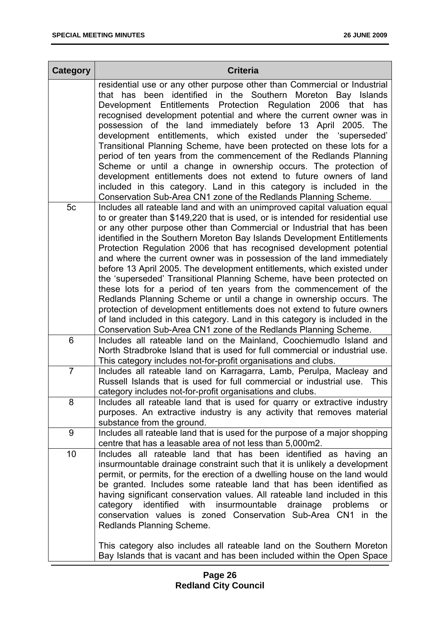| <b>Category</b> | <b>Criteria</b>                                                                                                                                                                                                                                                                                                                                                                                                                                                                                                                                                                                                                                                                                                                                                                                                                                                                                                                                                                               |  |  |  |
|-----------------|-----------------------------------------------------------------------------------------------------------------------------------------------------------------------------------------------------------------------------------------------------------------------------------------------------------------------------------------------------------------------------------------------------------------------------------------------------------------------------------------------------------------------------------------------------------------------------------------------------------------------------------------------------------------------------------------------------------------------------------------------------------------------------------------------------------------------------------------------------------------------------------------------------------------------------------------------------------------------------------------------|--|--|--|
|                 | residential use or any other purpose other than Commercial or Industrial<br>that has been identified in the Southern Moreton Bay Islands<br>Development Entitlements Protection Regulation 2006 that has<br>recognised development potential and where the current owner was in<br>possession of the land immediately before 13 April 2005. The<br>development entitlements, which existed under the 'superseded'<br>Transitional Planning Scheme, have been protected on these lots for a<br>period of ten years from the commencement of the Redlands Planning<br>Scheme or until a change in ownership occurs. The protection of<br>development entitlements does not extend to future owners of land                                                                                                                                                                                                                                                                                      |  |  |  |
|                 | included in this category. Land in this category is included in the<br>Conservation Sub-Area CN1 zone of the Redlands Planning Scheme.                                                                                                                                                                                                                                                                                                                                                                                                                                                                                                                                                                                                                                                                                                                                                                                                                                                        |  |  |  |
| 5c              | Includes all rateable land and with an unimproved capital valuation equal<br>to or greater than \$149,220 that is used, or is intended for residential use<br>or any other purpose other than Commercial or Industrial that has been<br>identified in the Southern Moreton Bay Islands Development Entitlements<br>Protection Regulation 2006 that has recognised development potential<br>and where the current owner was in possession of the land immediately<br>before 13 April 2005. The development entitlements, which existed under<br>the 'superseded' Transitional Planning Scheme, have been protected on<br>these lots for a period of ten years from the commencement of the<br>Redlands Planning Scheme or until a change in ownership occurs. The<br>protection of development entitlements does not extend to future owners<br>of land included in this category. Land in this category is included in the<br>Conservation Sub-Area CN1 zone of the Redlands Planning Scheme. |  |  |  |
| 6               | Includes all rateable land on the Mainland, Coochiemudlo Island and<br>North Stradbroke Island that is used for full commercial or industrial use.<br>This category includes not-for-profit organisations and clubs.                                                                                                                                                                                                                                                                                                                                                                                                                                                                                                                                                                                                                                                                                                                                                                          |  |  |  |
| $\overline{7}$  | Includes all rateable land on Karragarra, Lamb, Perulpa, Macleay and<br>Russell Islands that is used for full commercial or industrial use. This<br>category includes not-for-profit organisations and clubs.                                                                                                                                                                                                                                                                                                                                                                                                                                                                                                                                                                                                                                                                                                                                                                                 |  |  |  |
| 8               | Includes all rateable land that is used for quarry or extractive industry<br>purposes. An extractive industry is any activity that removes material<br>substance from the ground.                                                                                                                                                                                                                                                                                                                                                                                                                                                                                                                                                                                                                                                                                                                                                                                                             |  |  |  |
| 9               | Includes all rateable land that is used for the purpose of a major shopping<br>centre that has a leasable area of not less than 5,000m2.                                                                                                                                                                                                                                                                                                                                                                                                                                                                                                                                                                                                                                                                                                                                                                                                                                                      |  |  |  |
| 10              | Includes all rateable land that has been identified as having an<br>insurmountable drainage constraint such that it is unlikely a development<br>permit, or permits, for the erection of a dwelling house on the land would<br>be granted. Includes some rateable land that has been identified as<br>having significant conservation values. All rateable land included in this<br>category identified with insurmountable drainage<br>problems<br>or<br>conservation values is zoned Conservation Sub-Area CN1 in<br>the<br>Redlands Planning Scheme.                                                                                                                                                                                                                                                                                                                                                                                                                                       |  |  |  |
|                 | This category also includes all rateable land on the Southern Moreton<br>Bay Islands that is vacant and has been included within the Open Space                                                                                                                                                                                                                                                                                                                                                                                                                                                                                                                                                                                                                                                                                                                                                                                                                                               |  |  |  |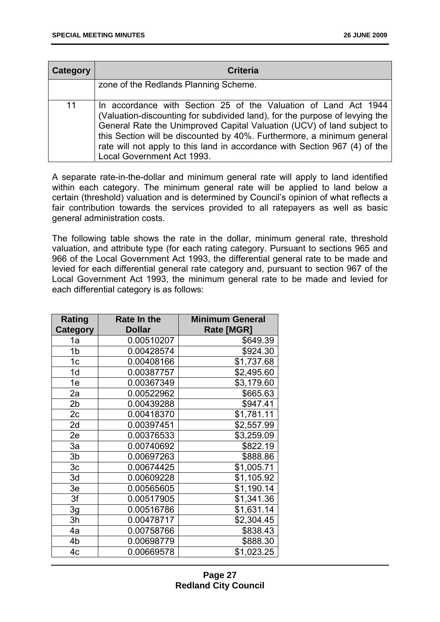| Category | <b>Criteria</b>                                                                                                                                                                                                                                                                                                                                                                                                |
|----------|----------------------------------------------------------------------------------------------------------------------------------------------------------------------------------------------------------------------------------------------------------------------------------------------------------------------------------------------------------------------------------------------------------------|
|          | zone of the Redlands Planning Scheme.                                                                                                                                                                                                                                                                                                                                                                          |
| 11       | In accordance with Section 25 of the Valuation of Land Act 1944<br>(Valuation-discounting for subdivided land), for the purpose of levying the<br>General Rate the Unimproved Capital Valuation (UCV) of land subject to<br>this Section will be discounted by 40%. Furthermore, a minimum general<br>rate will not apply to this land in accordance with Section 967 (4) of the<br>Local Government Act 1993. |

A separate rate-in-the-dollar and minimum general rate will apply to land identified within each category. The minimum general rate will be applied to land below a certain (threshold) valuation and is determined by Council's opinion of what reflects a fair contribution towards the services provided to all ratepayers as well as basic general administration costs.

The following table shows the rate in the dollar, minimum general rate, threshold valuation, and attribute type (for each rating category. Pursuant to sections 965 and 966 of the Local Government Act 1993, the differential general rate to be made and levied for each differential general rate category and, pursuant to section 967 of the Local Government Act 1993, the minimum general rate to be made and levied for each differential category is as follows:

| <b>Rating</b>   | Rate In the   | <b>Minimum General</b> |
|-----------------|---------------|------------------------|
| <b>Category</b> | <b>Dollar</b> | Rate [MGR]             |
| 1a              | 0.00510207    | \$649.39               |
| 1b              | 0.00428574    | \$924.30               |
| 1 <sub>c</sub>  | 0.00408166    | \$1,737.68             |
| 1d              | 0.00387757    | \$2,495.60             |
| 1e              | 0.00367349    | \$3,179.60             |
| 2a              | 0.00522962    | \$665.63               |
| 2 <sub>b</sub>  | 0.00439288    | \$947.41               |
| 2c              | 0.00418370    | \$1,781.11             |
| 2d              | 0.00397451    | \$2,557.99             |
| 2e              | 0.00376533    | \$3,259.09             |
| За              | 0.00740692    | \$822.19               |
| 3b              | 0.00697263    | \$888.86               |
| 3c              | 0.00674425    | \$1,005.71             |
| 3d              | 0.00609228    | \$1,105.92             |
| 3e              | 0.00565605    | \$1,190.14             |
| 3f              | 0.00517905    | \$1,341.36             |
| 3g              | 0.00516786    | \$1,631.14             |
| 3h              | 0.00478717    | \$2,304.45             |
| 4a              | 0.00758766    | \$838.43               |
| 4 <sub>b</sub>  | 0.00698779    | \$888.30               |
| 4c              | 0.00669578    | \$1,023.25             |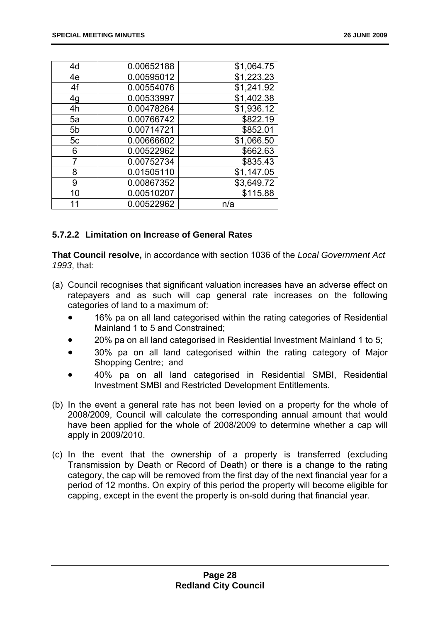| 4d             | 0.00652188 | \$1,064.75 |  |  |
|----------------|------------|------------|--|--|
| 4e             | 0.00595012 | \$1,223.23 |  |  |
| 4f             | 0.00554076 | \$1,241.92 |  |  |
| 4g             | 0.00533997 | \$1,402.38 |  |  |
| 4h             | 0.00478264 | \$1,936.12 |  |  |
| 5a             | 0.00766742 | \$822.19   |  |  |
| 5 <sub>b</sub> | 0.00714721 | \$852.01   |  |  |
| 5c             | 0.00666602 | \$1,066.50 |  |  |
| 6              | 0.00522962 | \$662.63   |  |  |
| 7              | 0.00752734 | \$835.43   |  |  |
| 8              | 0.01505110 | \$1,147.05 |  |  |
| 9              | 0.00867352 | \$3,649.72 |  |  |
| 10             | 0.00510207 | \$115.88   |  |  |
| 11             | 0.00522962 | n/a        |  |  |

#### **5.7.2.2 Limitation on Increase of General Rates**

**That Council resolve,** in accordance with section 1036 of the *Local Government Act 1993*, that:

- (a) Council recognises that significant valuation increases have an adverse effect on ratepayers and as such will cap general rate increases on the following categories of land to a maximum of:
	- 16% pa on all land categorised within the rating categories of Residential Mainland 1 to 5 and Constrained;
	- 20% pa on all land categorised in Residential Investment Mainland 1 to 5;
	- 30% pa on all land categorised within the rating category of Major Shopping Centre; and
	- 40% pa on all land categorised in Residential SMBI, Residential Investment SMBI and Restricted Development Entitlements.
- (b) In the event a general rate has not been levied on a property for the whole of 2008/2009, Council will calculate the corresponding annual amount that would have been applied for the whole of 2008/2009 to determine whether a cap will apply in 2009/2010.
- (c) In the event that the ownership of a property is transferred (excluding Transmission by Death or Record of Death) or there is a change to the rating category, the cap will be removed from the first day of the next financial year for a period of 12 months. On expiry of this period the property will become eligible for capping, except in the event the property is on-sold during that financial year.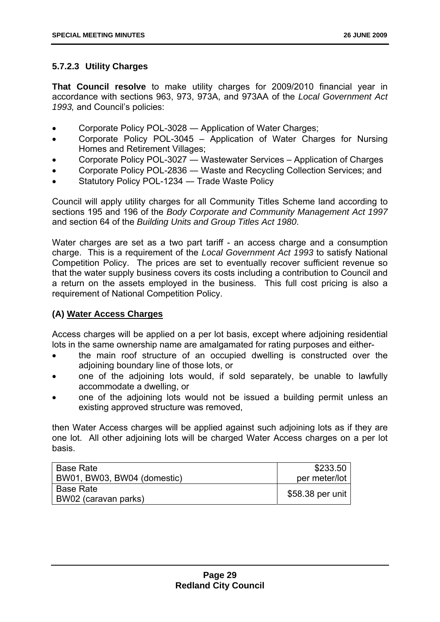#### **5.7.2.3 Utility Charges**

**That Council resolve** to make utility charges for 2009/2010 financial year in accordance with sections 963, 973, 973A, and 973AA of the *Local Government Act 1993,* and Council's policies:

- Corporate Policy POL-3028 ― Application of Water Charges;
- Corporate Policy POL-3045 Application of Water Charges for Nursing Homes and Retirement Villages;
- Corporate Policy POL-3027 ― Wastewater Services Application of Charges
- Corporate Policy POL-2836 Waste and Recycling Collection Services; and
- Statutory Policy POL-1234 Trade Waste Policy

Council will apply utility charges for all Community Titles Scheme land according to sections 195 and 196 of the *Body Corporate and Community Management Act 1997* and section 64 of the *Building Units and Group Titles Act 1980*.

Water charges are set as a two part tariff - an access charge and a consumption charge. This is a requirement of the *Local Government Act 1993* to satisfy National Competition Policy. The prices are set to eventually recover sufficient revenue so that the water supply business covers its costs including a contribution to Council and a return on the assets employed in the business. This full cost pricing is also a requirement of National Competition Policy.

#### **(A) Water Access Charges**

Access charges will be applied on a per lot basis, except where adjoining residential lots in the same ownership name are amalgamated for rating purposes and either-

- the main roof structure of an occupied dwelling is constructed over the adjoining boundary line of those lots, or
- one of the adjoining lots would, if sold separately, be unable to lawfully accommodate a dwelling, or
- one of the adjoining lots would not be issued a building permit unless an existing approved structure was removed,

then Water Access charges will be applied against such adjoining lots as if they are one lot. All other adjoining lots will be charged Water Access charges on a per lot basis.

| <b>Base Rate</b>            | \$233.50         |
|-----------------------------|------------------|
| BW01, BW03, BW04 (domestic) | per meter/lot    |
| <b>Base Rate</b>            | \$58.38 per unit |
| BW02 (caravan parks)        |                  |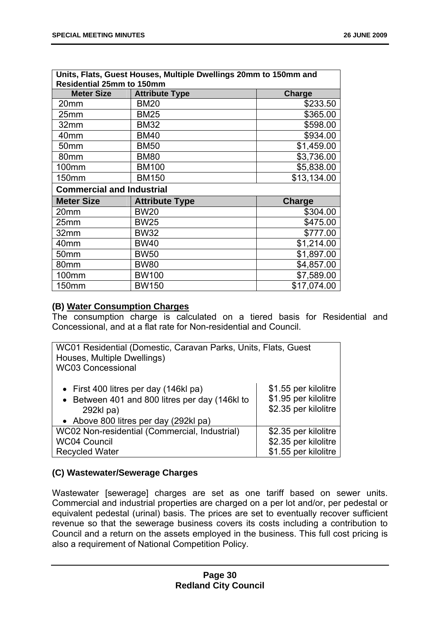| Units, Flats, Guest Houses, Multiple Dwellings 20mm to 150mm and<br><b>Residential 25mm to 150mm</b> |                       |               |  |  |  |
|------------------------------------------------------------------------------------------------------|-----------------------|---------------|--|--|--|
| <b>Meter Size</b>                                                                                    | <b>Attribute Type</b> | <b>Charge</b> |  |  |  |
| 20mm                                                                                                 | <b>BM20</b>           | \$233.50      |  |  |  |
| 25mm                                                                                                 | <b>BM25</b>           | \$365.00      |  |  |  |
| 32mm                                                                                                 | <b>BM32</b>           | \$598.00      |  |  |  |
| 40mm                                                                                                 | <b>BM40</b>           | \$934.00      |  |  |  |
| 50mm                                                                                                 | <b>BM50</b>           | \$1,459.00    |  |  |  |
| 80mm                                                                                                 | <b>BM80</b>           | \$3,736.00    |  |  |  |
| 100mm                                                                                                | <b>BM100</b>          | \$5,838.00    |  |  |  |
| 150mm                                                                                                | <b>BM150</b>          | \$13,134.00   |  |  |  |
| <b>Commercial and Industrial</b>                                                                     |                       |               |  |  |  |
| <b>Meter Size</b>                                                                                    | <b>Attribute Type</b> | <b>Charge</b> |  |  |  |
| 20mm                                                                                                 | <b>BW20</b>           | \$304.00      |  |  |  |
| 25mm                                                                                                 | <b>BW25</b>           | \$475.00      |  |  |  |
| 32mm                                                                                                 | <b>BW32</b>           | \$777.00      |  |  |  |
| 40mm                                                                                                 | <b>BW40</b>           | \$1,214.00    |  |  |  |
| 50mm                                                                                                 | <b>BW50</b>           | \$1,897.00    |  |  |  |
| 80mm                                                                                                 | <b>BW80</b>           | \$4,857.00    |  |  |  |
| 100mm                                                                                                | <b>BW100</b>          | \$7,589.00    |  |  |  |
| 150mm                                                                                                | <b>BW150</b>          | \$17,074.00   |  |  |  |

#### **(B) Water Consumption Charges**

The consumption charge is calculated on a tiered basis for Residential and Concessional, and at a flat rate for Non-residential and Council.

| WC01 Residential (Domestic, Caravan Parks, Units, Flats, Guest |                      |  |  |  |
|----------------------------------------------------------------|----------------------|--|--|--|
| Houses, Multiple Dwellings)                                    |                      |  |  |  |
| <b>WC03 Concessional</b>                                       |                      |  |  |  |
|                                                                |                      |  |  |  |
| • First 400 litres per day (146kl pa)                          | \$1.55 per kilolitre |  |  |  |
| • Between 401 and 800 litres per day (146kl to                 | \$1.95 per kilolitre |  |  |  |
| 292kl pa)                                                      | \$2.35 per kilolitre |  |  |  |
| • Above 800 litres per day (292kl pa)                          |                      |  |  |  |
| WC02 Non-residential (Commercial, Industrial)                  | \$2.35 per kilolitre |  |  |  |
| <b>WC04 Council</b>                                            | \$2.35 per kilolitre |  |  |  |
| <b>Recycled Water</b>                                          | \$1.55 per kilolitre |  |  |  |

#### **(C) Wastewater/Sewerage Charges**

Wastewater [sewerage] charges are set as one tariff based on sewer units. Commercial and industrial properties are charged on a per lot and/or, per pedestal or equivalent pedestal (urinal) basis. The prices are set to eventually recover sufficient revenue so that the sewerage business covers its costs including a contribution to Council and a return on the assets employed in the business. This full cost pricing is also a requirement of National Competition Policy.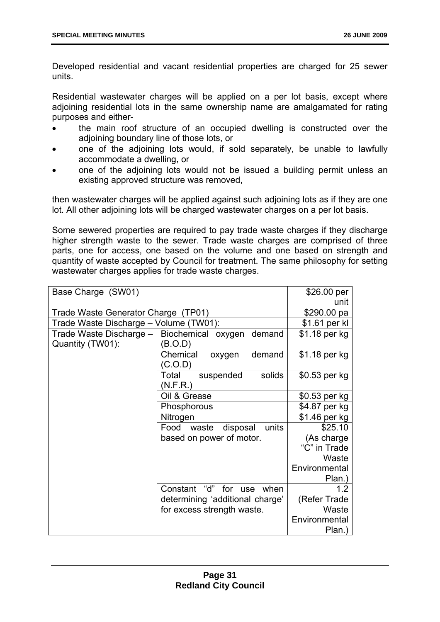Developed residential and vacant residential properties are charged for 25 sewer units.

Residential wastewater charges will be applied on a per lot basis, except where adjoining residential lots in the same ownership name are amalgamated for rating purposes and either-

- the main roof structure of an occupied dwelling is constructed over the adjoining boundary line of those lots, or
- one of the adjoining lots would, if sold separately, be unable to lawfully accommodate a dwelling, or
- one of the adjoining lots would not be issued a building permit unless an existing approved structure was removed,

then wastewater charges will be applied against such adjoining lots as if they are one lot. All other adjoining lots will be charged wastewater charges on a per lot basis.

Some sewered properties are required to pay trade waste charges if they discharge higher strength waste to the sewer. Trade waste charges are comprised of three parts, one for access, one based on the volume and one based on strength and quantity of waste accepted by Council for treatment. The same philosophy for setting wastewater charges applies for trade waste charges.

| Base Charge (SW01)                           |                                    | \$26.00 per   |
|----------------------------------------------|------------------------------------|---------------|
|                                              | unit                               |               |
| Trade Waste Generator Charge (TP01)          |                                    | \$290.00 pa   |
| Trade Waste Discharge - Volume (TW01):       |                                    | \$1.61 per kl |
| Trade Waste Discharge –   Biochemical oxygen | demand                             | \$1.18 per kg |
| Quantity (TW01):                             | (B.O.D)                            |               |
|                                              | Chemical<br>demand<br>oxygen       | \$1.18 per kg |
|                                              | (C.O.D)                            |               |
|                                              | solids<br>Total<br>suspended       | \$0.53 per kg |
|                                              | (N.F.R.)                           |               |
|                                              | Oil & Grease                       | \$0.53 per kg |
|                                              | Phosphorous                        | \$4.87 per kg |
|                                              | Nitrogen                           | \$1.46 per kg |
|                                              | disposal<br>units<br>Food<br>waste | \$25.10       |
|                                              | based on power of motor.           | (As charge    |
|                                              |                                    | "C" in Trade  |
|                                              |                                    | Waste         |
|                                              | Environmental                      |               |
|                                              | Plan.)                             |               |
|                                              | Constant "d"<br>for<br>when<br>use | 1.2           |
|                                              | determining 'additional charge'    | (Refer Trade  |
|                                              | for excess strength waste.         | Waste         |
|                                              |                                    | Environmental |
|                                              |                                    | Plan.)        |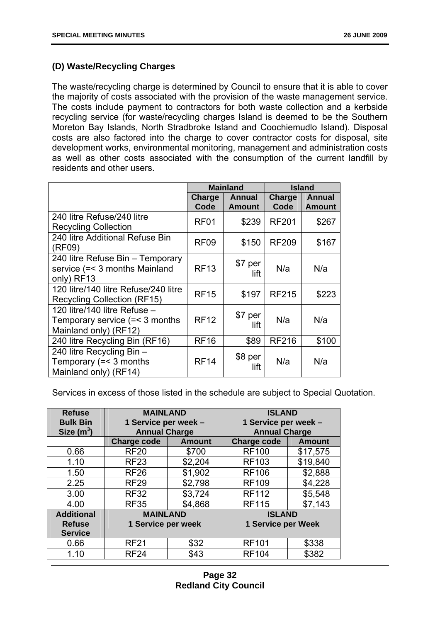#### **(D) Waste/Recycling Charges**

The waste/recycling charge is determined by Council to ensure that it is able to cover the majority of costs associated with the provision of the waste management service. The costs include payment to contractors for both waste collection and a kerbside recycling service (for waste/recycling charges Island is deemed to be the Southern Moreton Bay Islands, North Stradbroke Island and Coochiemudlo Island). Disposal costs are also factored into the charge to cover contractor costs for disposal, site development works, environmental monitoring, management and administration costs as well as other costs associated with the consumption of the current landfill by residents and other users.

|                                                                                              | <b>Mainland</b>  |                         | <b>Island</b>  |                         |
|----------------------------------------------------------------------------------------------|------------------|-------------------------|----------------|-------------------------|
|                                                                                              | Charge<br>Code   | Annual<br><b>Amount</b> | Charge<br>Code | Annual<br><b>Amount</b> |
| 240 litre Refuse/240 litre<br><b>Recycling Collection</b>                                    | RF <sub>01</sub> | \$239                   | <b>RF201</b>   | \$267                   |
| 240 litre Additional Refuse Bin<br>(RF09)                                                    | RF <sub>09</sub> | \$150                   | <b>RF209</b>   | \$167                   |
| 240 litre Refuse Bin – Temporary<br>service (=< 3 months Mainland<br>only) RF13              | <b>RF13</b>      | \$7 per<br>lift         | N/a            | N/a                     |
| 120 litre/140 litre Refuse/240 litre<br><b>Recycling Collection (RF15)</b>                   | <b>RF15</b>      | \$197                   | <b>RF215</b>   | \$223                   |
| 120 litre/140 litre Refuse $-$<br>Temporary service $(=$ < 3 months<br>Mainland only) (RF12) | <b>RF12</b>      | \$7 per<br>lift         | N/a            | N/a                     |
| 240 litre Recycling Bin (RF16)                                                               | <b>RF16</b>      | \$89                    | <b>RF216</b>   | \$100                   |
| 240 litre Recycling Bin -<br>Temporary $(= < 3$ months<br>Mainland only) (RF14)              | <b>RF14</b>      | \$8 per<br>lift         | N/a            | N/a                     |

Services in excess of those listed in the schedule are subject to Special Quotation.

| <b>Refuse</b><br><b>Bulk Bin</b><br>Size $(m^3)$     | <b>MAINLAND</b><br>1 Service per week -<br><b>Annual Charge</b> |               | <b>ISLAND</b><br>1 Service per week -<br><b>Annual Charge</b> |               |
|------------------------------------------------------|-----------------------------------------------------------------|---------------|---------------------------------------------------------------|---------------|
|                                                      | <b>Charge code</b>                                              | <b>Amount</b> | <b>Charge code</b>                                            | <b>Amount</b> |
| 0.66                                                 | <b>RF20</b>                                                     | \$700         | <b>RF100</b>                                                  | \$17,575      |
| 1.10                                                 | <b>RF23</b>                                                     | \$2,204       | <b>RF103</b>                                                  | \$19,840      |
| 1.50                                                 | <b>RF26</b>                                                     | \$1,902       | <b>RF106</b>                                                  | \$2,888       |
| 2.25                                                 | <b>RF29</b>                                                     | \$2,798       | <b>RF109</b>                                                  | \$4,228       |
| 3.00                                                 | <b>RF32</b>                                                     | \$3,724       | <b>RF112</b>                                                  | \$5,548       |
| 4.00                                                 | <b>RF35</b>                                                     | \$4,868       | <b>RF115</b>                                                  | \$7,143       |
| <b>Additional</b><br><b>Refuse</b><br><b>Service</b> | <b>MAINLAND</b><br>1 Service per week                           |               | <b>ISLAND</b><br><b>1 Service per Week</b>                    |               |
| 0.66                                                 | <b>RF21</b>                                                     | \$32          | <b>RF101</b>                                                  | \$338         |
| 1.10                                                 | <b>RF24</b>                                                     | \$43          | <b>RF104</b>                                                  | \$382         |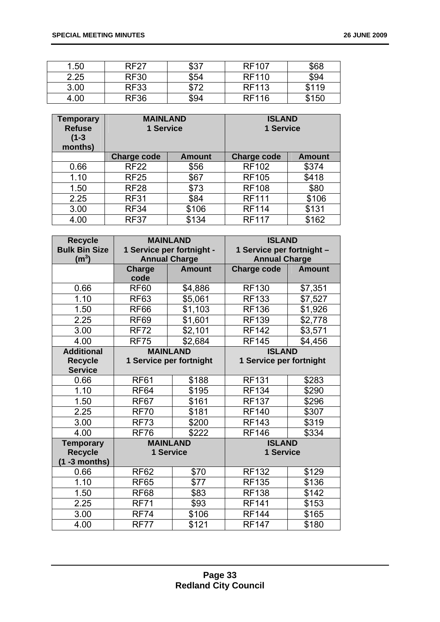| 1.50 | <b>RF27</b> | \$37 | <b>RF107</b> | \$68  |
|------|-------------|------|--------------|-------|
| 2.25 | <b>RF30</b> | \$54 | <b>RF110</b> | \$94  |
| 3.00 | <b>RF33</b> | \$72 | <b>RF113</b> | \$119 |
| 4.00 | <b>RF36</b> | \$94 | <b>RF116</b> | \$150 |

| <b>Temporary</b><br><b>Refuse</b><br>$(1 - 3)$<br>months) | <b>MAINLAND</b><br>1 Service |               | <b>ISLAND</b><br>1 Service |               |
|-----------------------------------------------------------|------------------------------|---------------|----------------------------|---------------|
|                                                           | <b>Charge code</b>           | <b>Amount</b> | <b>Charge code</b>         | <b>Amount</b> |
| 0.66                                                      | <b>RF22</b>                  | \$56          | <b>RF102</b>               | \$374         |
| 1.10                                                      | <b>RF25</b>                  | \$67          | <b>RF105</b>               | \$418         |
| 1.50                                                      | <b>RF28</b>                  | \$73          | <b>RF108</b>               | \$80          |
| 2.25                                                      | <b>RF31</b>                  | \$84          | <b>RF111</b>               | \$106         |
| 3.00                                                      | <b>RF34</b>                  | \$106         | <b>RF114</b>               | \$131         |
| 4.00                                                      | <b>RF37</b>                  | \$134         | <b>RF117</b>               | \$162         |

| <b>Recycle</b><br><b>Bulk Bin Size</b><br>(m <sup>3</sup> ) | <b>MAINLAND</b><br>1 Service per fortnight -<br><b>Annual Charge</b> |               | <b>ISLAND</b><br>1 Service per fortnight -<br><b>Annual Charge</b> |               |
|-------------------------------------------------------------|----------------------------------------------------------------------|---------------|--------------------------------------------------------------------|---------------|
|                                                             | <b>Charge</b>                                                        | <b>Amount</b> | <b>Charge code</b>                                                 | <b>Amount</b> |
|                                                             | code                                                                 |               |                                                                    |               |
| 0.66                                                        | <b>RF60</b>                                                          | \$4,886       | <b>RF130</b>                                                       | \$7,351       |
| 1.10                                                        | <b>RF63</b>                                                          | \$5,061       | <b>RF133</b>                                                       | \$7,527       |
| 1.50                                                        | RF <sub>66</sub>                                                     | \$1,103       | <b>RF136</b>                                                       | \$1,926       |
| 2.25                                                        | <b>RF69</b>                                                          | \$1,601       | <b>RF139</b>                                                       | \$2,778       |
| 3.00                                                        | <b>RF72</b>                                                          | \$2,101       | <b>RF142</b>                                                       | \$3,571       |
| 4.00                                                        | <b>RF75</b>                                                          | \$2,684       | <b>RF145</b>                                                       | \$4,456       |
| <b>Additional</b>                                           | <b>MAINLAND</b>                                                      |               | <b>ISLAND</b>                                                      |               |
| <b>Recycle</b>                                              | 1 Service per fortnight                                              |               | 1 Service per fortnight                                            |               |
| <b>Service</b>                                              |                                                                      |               |                                                                    |               |
| 0.66                                                        | <b>RF61</b>                                                          | \$188         | <b>RF131</b>                                                       | \$283         |
| 1.10                                                        | <b>RF64</b>                                                          | \$195         | <b>RF134</b>                                                       | \$290         |
| 1.50                                                        | <b>RF67</b>                                                          | \$161         | <b>RF137</b>                                                       | \$296         |
| 2.25                                                        | <b>RF70</b>                                                          | \$181         | <b>RF140</b>                                                       | \$307         |
| 3.00                                                        | <b>RF73</b>                                                          | \$200         | <b>RF143</b>                                                       | \$319         |
| 4.00                                                        | <b>RF76</b>                                                          | \$222         | <b>RF146</b>                                                       | \$334         |
| <b>Temporary</b>                                            | <b>MAINLAND</b>                                                      |               | <b>ISLAND</b>                                                      |               |
| <b>Recycle</b>                                              | <b>1 Service</b>                                                     |               | <b>1 Service</b>                                                   |               |
| $(1 - 3$ months)                                            |                                                                      |               |                                                                    |               |
| 0.66                                                        | <b>RF62</b>                                                          | \$70          | <b>RF132</b>                                                       | \$129         |
| 1.10                                                        | <b>RF65</b>                                                          | \$77          | <b>RF135</b>                                                       | \$136         |
| 1.50                                                        | <b>RF68</b>                                                          | \$83          | <b>RF138</b>                                                       | \$142         |
| 2.25                                                        | <b>RF71</b>                                                          | \$93          | <b>RF141</b>                                                       | \$153         |
| 3.00                                                        | <b>RF74</b>                                                          | \$106         | <b>RF144</b>                                                       | \$165         |
| 4.00                                                        | <b>RF77</b>                                                          | \$121         | <b>RF147</b>                                                       | \$180         |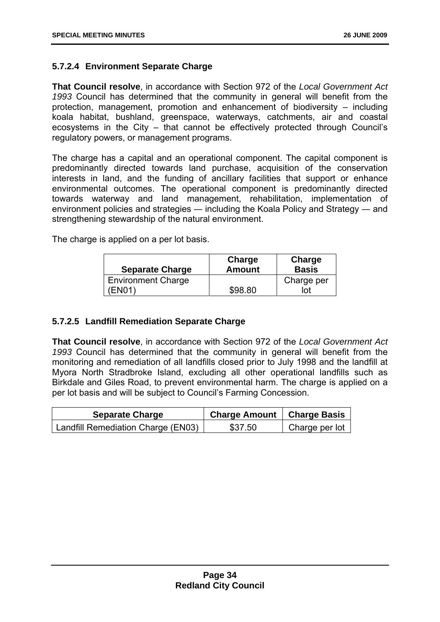#### **5.7.2.4 Environment Separate Charge**

**That Council resolve**, in accordance with Section 972 of the *Local Government Act 1993* Council has determined that the community in general will benefit from the protection, management, promotion and enhancement of biodiversity – including koala habitat, bushland, greenspace, waterways, catchments, air and coastal ecosystems in the City – that cannot be effectively protected through Council's regulatory powers, or management programs.

The charge has a capital and an operational component. The capital component is predominantly directed towards land purchase, acquisition of the conservation interests in land, and the funding of ancillary facilities that support or enhance environmental outcomes. The operational component is predominantly directed towards waterway and land management, rehabilitation, implementation of environment policies and strategies ― including the Koala Policy and Strategy ― and strengthening stewardship of the natural environment.

The charge is applied on a per lot basis.

| <b>Separate Charge</b>    | Charge<br><b>Amount</b> | Charge<br><b>Basis</b> |
|---------------------------|-------------------------|------------------------|
| <b>Environment Charge</b> |                         | Charge per             |
| EN01)                     | \$98.80                 | lot                    |

#### **5.7.2.5 Landfill Remediation Separate Charge**

**That Council resolve**, in accordance with Section 972 of the *Local Government Act 1993* Council has determined that the community in general will benefit from the monitoring and remediation of all landfills closed prior to July 1998 and the landfill at Myora North Stradbroke Island, excluding all other operational landfills such as Birkdale and Giles Road, to prevent environmental harm. The charge is applied on a per lot basis and will be subject to Council's Farming Concession.

| <b>Separate Charge</b>             | Charge Amount   Charge Basis |                |
|------------------------------------|------------------------------|----------------|
| Landfill Remediation Charge (EN03) | \$37.50                      | Charge per lot |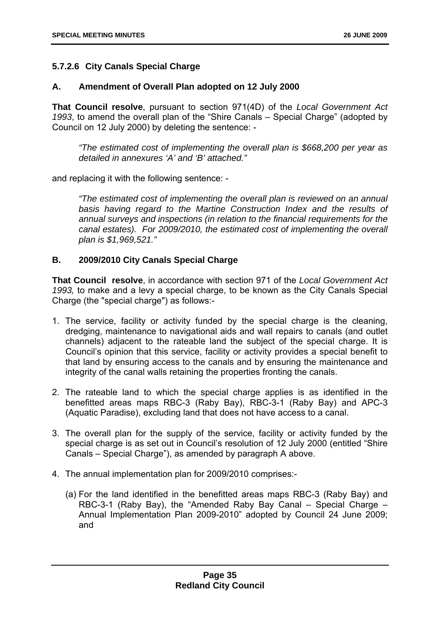#### **5.7.2.6 City Canals Special Charge**

#### **A. Amendment of Overall Plan adopted on 12 July 2000**

**That Council resolve**, pursuant to section 971(4D) of the *Local Government Act 1993*, to amend the overall plan of the "Shire Canals – Special Charge" (adopted by Council on 12 July 2000) by deleting the sentence: -

*"The estimated cost of implementing the overall plan is \$668,200 per year as detailed in annexures 'A' and 'B' attached."* 

and replacing it with the following sentence: -

*"The estimated cost of implementing the overall plan is reviewed on an annual*  basis having regard to the Martine Construction Index and the results of *annual surveys and inspections (in relation to the financial requirements for the canal estates). For 2009/2010, the estimated cost of implementing the overall plan is \$1,969,521."* 

#### **B. 2009/2010 City Canals Special Charge**

**That Council resolve**, in accordance with section 971 of the *Local Government Act 1993,* to make and a levy a special charge, to be known as the City Canals Special Charge (the "special charge") as follows:-

- 1. The service, facility or activity funded by the special charge is the cleaning, dredging, maintenance to navigational aids and wall repairs to canals (and outlet channels) adjacent to the rateable land the subject of the special charge. It is Council's opinion that this service, facility or activity provides a special benefit to that land by ensuring access to the canals and by ensuring the maintenance and integrity of the canal walls retaining the properties fronting the canals.
- 2. The rateable land to which the special charge applies is as identified in the benefitted areas maps RBC-3 (Raby Bay), RBC-3-1 (Raby Bay) and APC-3 (Aquatic Paradise), excluding land that does not have access to a canal.
- 3. The overall plan for the supply of the service, facility or activity funded by the special charge is as set out in Council's resolution of 12 July 2000 (entitled "Shire Canals – Special Charge"), as amended by paragraph A above.
- 4. The annual implementation plan for 2009/2010 comprises:-
	- (a) For the land identified in the benefitted areas maps RBC-3 (Raby Bay) and RBC-3-1 (Raby Bay), the "Amended Raby Bay Canal – Special Charge – Annual Implementation Plan 2009-2010" adopted by Council 24 June 2009; and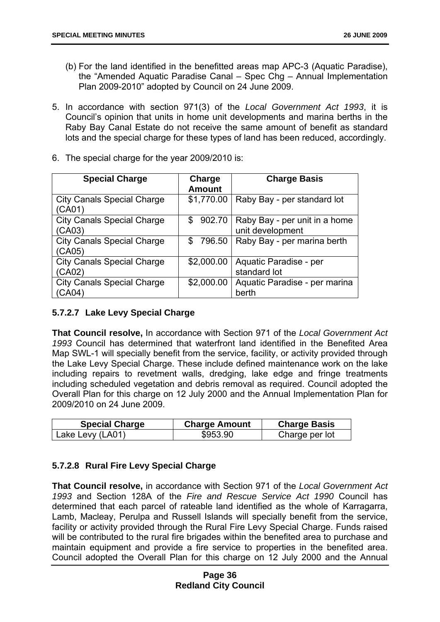- (b) For the land identified in the benefitted areas map APC-3 (Aquatic Paradise), the "Amended Aquatic Paradise Canal – Spec Chg – Annual Implementation Plan 2009-2010" adopted by Council on 24 June 2009.
- 5. In accordance with section 971(3) of the *Local Government Act 1993*, it is Council's opinion that units in home unit developments and marina berths in the Raby Bay Canal Estate do not receive the same amount of benefit as standard lots and the special charge for these types of land has been reduced, accordingly.
- 6. The special charge for the year 2009/2010 is:

| <b>Special Charge</b>                              | Charge<br><b>Amount</b> | <b>Charge Basis</b>                               |
|----------------------------------------------------|-------------------------|---------------------------------------------------|
| <b>City Canals Special Charge</b><br>(CA01)        | \$1,770.00              | Raby Bay - per standard lot                       |
| <b>City Canals Special Charge</b><br>(CA03)        | 902.70<br>\$            | Raby Bay - per unit in a home<br>unit development |
| <b>City Canals Special Charge</b><br>(CA05)        | \$<br>796.50            | Raby Bay - per marina berth                       |
| <b>City Canals Special Charge</b><br>(CA02)        | \$2,000.00              | Aquatic Paradise - per<br>standard lot            |
| <b>City Canals Special Charge</b><br><b>CA04</b> ` | \$2,000.00              | Aquatic Paradise - per marina<br>berth            |

#### **5.7.2.7 Lake Levy Special Charge**

**That Council resolve,** In accordance with Section 971 of the *Local Government Act 1993* Council has determined that waterfront land identified in the Benefited Area Map SWL-1 will specially benefit from the service, facility, or activity provided through the Lake Levy Special Charge. These include defined maintenance work on the lake including repairs to revetment walls, dredging, lake edge and fringe treatments including scheduled vegetation and debris removal as required. Council adopted the Overall Plan for this charge on 12 July 2000 and the Annual Implementation Plan for 2009/2010 on 24 June 2009.

| <b>Special Charge</b> | <b>Charge Amount</b> | <b>Charge Basis</b> |
|-----------------------|----------------------|---------------------|
| Lake Levy (LA01)      | \$953.90             | Charge per lot      |

#### **5.7.2.8 Rural Fire Levy Special Charge**

**That Council resolve,** in accordance with Section 971 of the *Local Government Act 1993* and Section 128A of the *Fire and Rescue Service Act 1990* Council has determined that each parcel of rateable land identified as the whole of Karragarra, Lamb, Macleay, Perulpa and Russell Islands will specially benefit from the service, facility or activity provided through the Rural Fire Levy Special Charge. Funds raised will be contributed to the rural fire brigades within the benefited area to purchase and maintain equipment and provide a fire service to properties in the benefited area. Council adopted the Overall Plan for this charge on 12 July 2000 and the Annual

#### **Page 36 Redland City Council**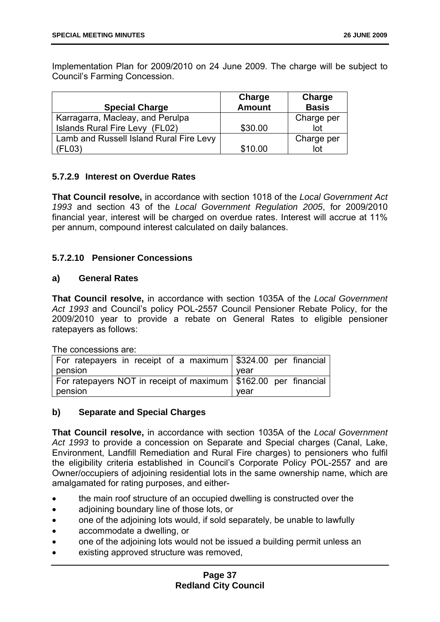Implementation Plan for 2009/2010 on 24 June 2009. The charge will be subject to Council's Farming Concession.

| <b>Special Charge</b>                   | Charge<br><b>Amount</b> | Charge<br><b>Basis</b> |
|-----------------------------------------|-------------------------|------------------------|
| Karragarra, Macleay, and Perulpa        |                         | Charge per             |
| Islands Rural Fire Levy (FL02)          | \$30.00                 | lot                    |
| Lamb and Russell Island Rural Fire Levy |                         | Charge per             |
| (FL03)                                  | \$10.00                 | lot                    |

#### **5.7.2.9 Interest on Overdue Rates**

**That Council resolve,** in accordance with section 1018 of the *Local Government Act 1993* and section 43 of the *Local Government Regulation 2005*, for 2009/2010 financial year, interest will be charged on overdue rates. Interest will accrue at 11% per annum, compound interest calculated on daily balances.

#### **5.7.2.10 Pensioner Concessions**

#### **a) General Rates**

**That Council resolve,** in accordance with section 1035A of the *Local Government Act 1993* and Council's policy POL-2557 Council Pensioner Rebate Policy, for the 2009/2010 year to provide a rebate on General Rates to eligible pensioner ratepayers as follows:

The concessions are:

| For ratepayers in receipt of a maximum   \$324.00 per financial   |      |
|-------------------------------------------------------------------|------|
| pension                                                           | vear |
| For ratepayers NOT in receipt of maximum   \$162.00 per financial |      |
| pension                                                           | vear |

#### **b) Separate and Special Charges**

**That Council resolve,** in accordance with section 1035A of the *Local Government Act 1993* to provide a concession on Separate and Special charges (Canal, Lake, Environment, Landfill Remediation and Rural Fire charges) to pensioners who fulfil the eligibility criteria established in Council's Corporate Policy POL-2557 and are Owner/occupiers of adjoining residential lots in the same ownership name, which are amalgamated for rating purposes, and either-

- the main roof structure of an occupied dwelling is constructed over the
- adjoining boundary line of those lots, or
- one of the adjoining lots would, if sold separately, be unable to lawfully
- accommodate a dwelling, or
- one of the adjoining lots would not be issued a building permit unless an
- existing approved structure was removed,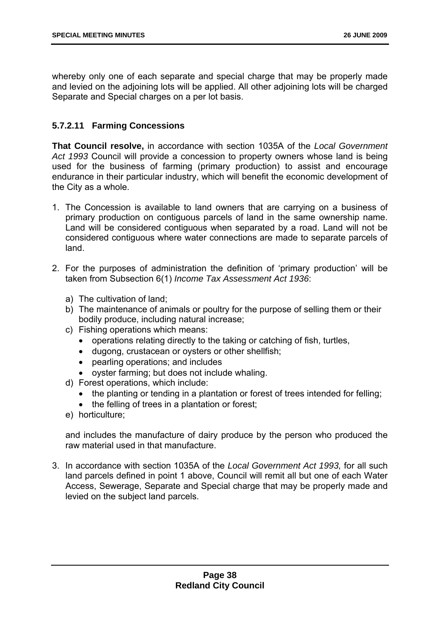whereby only one of each separate and special charge that may be properly made and levied on the adjoining lots will be applied. All other adjoining lots will be charged Separate and Special charges on a per lot basis.

#### **5.7.2.11 Farming Concessions**

**That Council resolve,** in accordance with section 1035A of the *Local Government Act 1993* Council will provide a concession to property owners whose land is being used for the business of farming (primary production) to assist and encourage endurance in their particular industry, which will benefit the economic development of the City as a whole.

- 1. The Concession is available to land owners that are carrying on a business of primary production on contiguous parcels of land in the same ownership name. Land will be considered contiguous when separated by a road. Land will not be considered contiguous where water connections are made to separate parcels of land.
- 2. For the purposes of administration the definition of 'primary production' will be taken from Subsection 6(1) *Income Tax Assessment Act 1936*:
	- a) The cultivation of land;
	- b) The maintenance of animals or poultry for the purpose of selling them or their bodily produce, including natural increase;
	- c) Fishing operations which means:
		- operations relating directly to the taking or catching of fish, turtles,
		- dugong, crustacean or oysters or other shellfish;
		- pearling operations; and includes
		- oyster farming; but does not include whaling.
	- d) Forest operations, which include:
		- the planting or tending in a plantation or forest of trees intended for felling;
		- the felling of trees in a plantation or forest;
	- e) horticulture;

and includes the manufacture of dairy produce by the person who produced the raw material used in that manufacture.

3. In accordance with section 1035A of the *Local Government Act 1993,* for all such land parcels defined in point 1 above, Council will remit all but one of each Water Access, Sewerage, Separate and Special charge that may be properly made and levied on the subject land parcels.